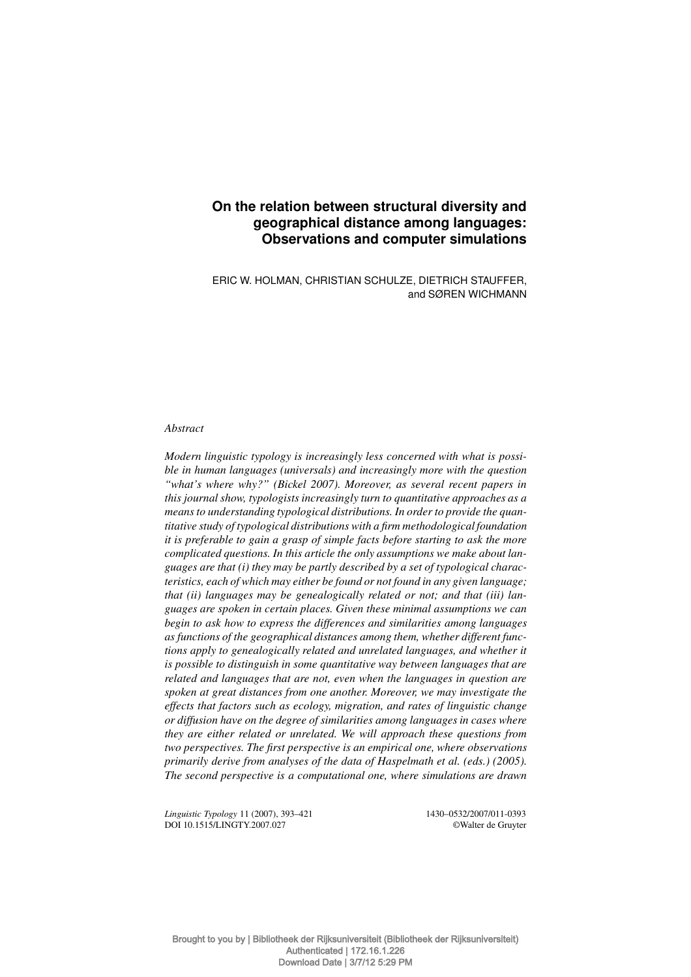# **On the relation between structural diversity and geographical distance among languages: Observations and computer simulations**

ERIC W. HOLMAN, CHRISTIAN SCHULZE, DIETRICH STAUFFER, and SØREN WICHMANN

# *Abstract*

*Modern linguistic typology is increasingly less concerned with what is possible in human languages (universals) and increasingly more with the question "what's where why?" (Bickel 2007). Moreover, as several recent papers in this journal show, typologists increasingly turn to quantitative approaches as a means to understanding typological distributions. In order to provide the quantitative study of typological distributions with a firm methodological foundation it is preferable to gain a grasp of simple facts before starting to ask the more complicated questions. In this article the only assumptions we make about languages are that (i) they may be partly described by a set of typological characteristics, each of which may either be found or not found in any given language; that (ii) languages may be genealogically related or not; and that (iii) languages are spoken in certain places. Given these minimal assumptions we can begin to ask how to express the differences and similarities among languages as functions of the geographical distances among them, whether different functions apply to genealogically related and unrelated languages, and whether it is possible to distinguish in some quantitative way between languages that are related and languages that are not, even when the languages in question are spoken at great distances from one another. Moreover, we may investigate the effects that factors such as ecology, migration, and rates of linguistic change or diffusion have on the degree of similarities among languages in cases where they are either related or unrelated. We will approach these questions from two perspectives. The first perspective is an empirical one, where observations primarily derive from analyses of the data of Haspelmath et al. (eds.) (2005). The second perspective is a computational one, where simulations are drawn*

*Linguistic Typology* 11 (2007), 393–421 1430–0532/2007/011-0393 DOI 10.1515/LINGTY.2007.027 ©Walter de Gruyter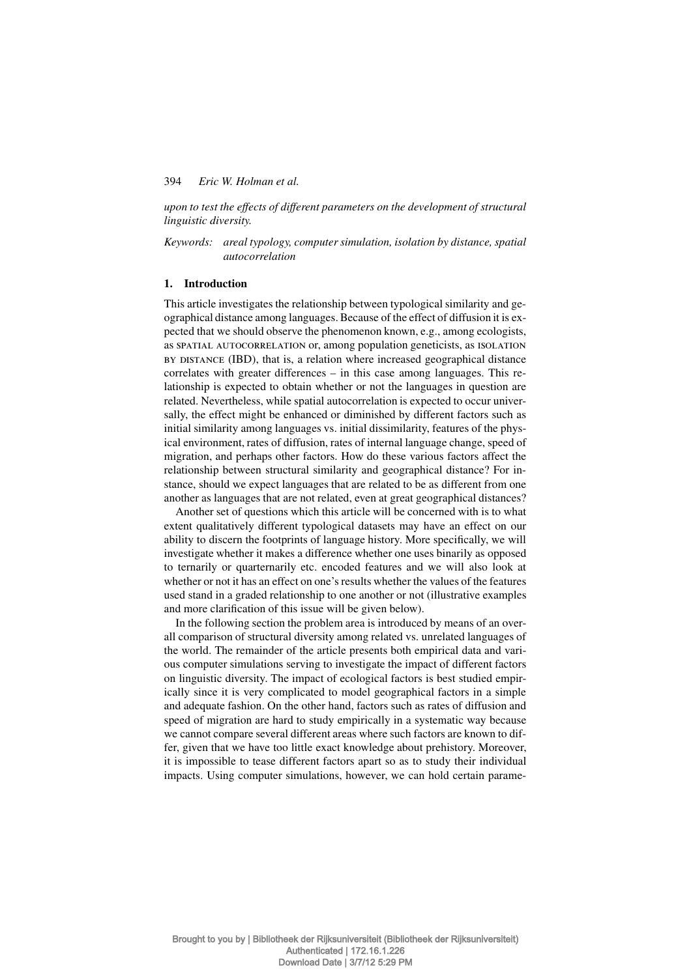*upon to test the effects of different parameters on the development of structural linguistic diversity.*

*Keywords: areal typology, computer simulation, isolation by distance, spatial autocorrelation*

# 1. Introduction

This article investigates the relationship between typological similarity and geographical distance among languages. Because of the effect of diffusion it is expected that we should observe the phenomenon known, e.g., among ecologists, as spatial autocorrelation or, among population geneticists, as isolation by distance (IBD), that is, a relation where increased geographical distance correlates with greater differences – in this case among languages. This relationship is expected to obtain whether or not the languages in question are related. Nevertheless, while spatial autocorrelation is expected to occur universally, the effect might be enhanced or diminished by different factors such as initial similarity among languages vs. initial dissimilarity, features of the physical environment, rates of diffusion, rates of internal language change, speed of migration, and perhaps other factors. How do these various factors affect the relationship between structural similarity and geographical distance? For instance, should we expect languages that are related to be as different from one another as languages that are not related, even at great geographical distances?

Another set of questions which this article will be concerned with is to what extent qualitatively different typological datasets may have an effect on our ability to discern the footprints of language history. More specifically, we will investigate whether it makes a difference whether one uses binarily as opposed to ternarily or quarternarily etc. encoded features and we will also look at whether or not it has an effect on one's results whether the values of the features used stand in a graded relationship to one another or not (illustrative examples and more clarification of this issue will be given below).

In the following section the problem area is introduced by means of an overall comparison of structural diversity among related vs. unrelated languages of the world. The remainder of the article presents both empirical data and various computer simulations serving to investigate the impact of different factors on linguistic diversity. The impact of ecological factors is best studied empirically since it is very complicated to model geographical factors in a simple and adequate fashion. On the other hand, factors such as rates of diffusion and speed of migration are hard to study empirically in a systematic way because we cannot compare several different areas where such factors are known to differ, given that we have too little exact knowledge about prehistory. Moreover, it is impossible to tease different factors apart so as to study their individual impacts. Using computer simulations, however, we can hold certain parame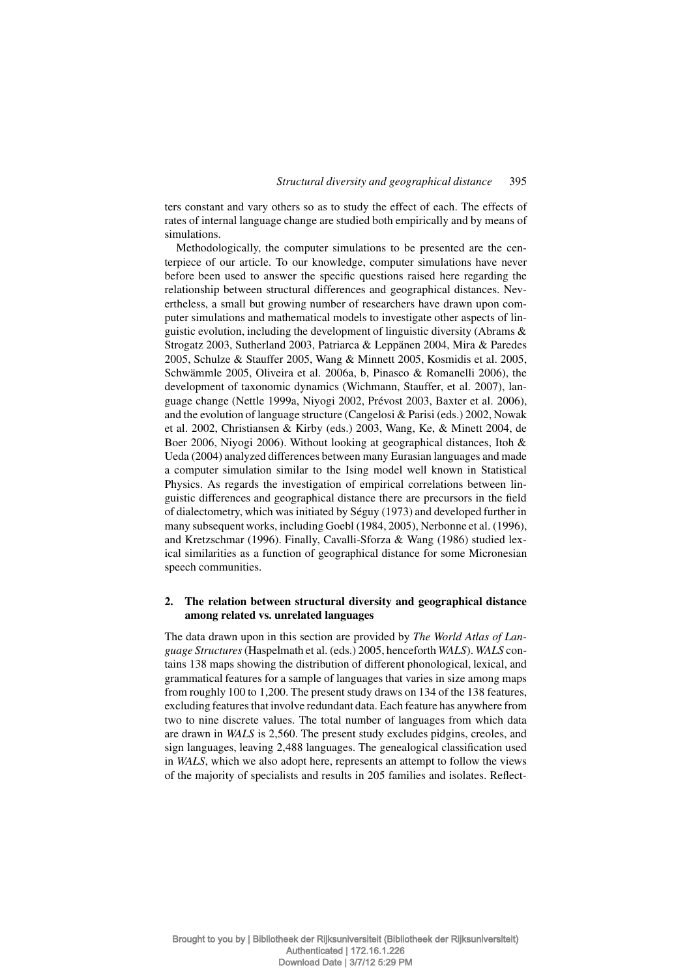ters constant and vary others so as to study the effect of each. The effects of rates of internal language change are studied both empirically and by means of simulations.

Methodologically, the computer simulations to be presented are the centerpiece of our article. To our knowledge, computer simulations have never before been used to answer the specific questions raised here regarding the relationship between structural differences and geographical distances. Nevertheless, a small but growing number of researchers have drawn upon computer simulations and mathematical models to investigate other aspects of linguistic evolution, including the development of linguistic diversity (Abrams & Strogatz 2003, Sutherland 2003, Patriarca & Leppänen 2004, Mira & Paredes 2005, Schulze & Stauffer 2005, Wang & Minnett 2005, Kosmidis et al. 2005, Schwämmle 2005, Oliveira et al. 2006a, b, Pinasco & Romanelli 2006), the development of taxonomic dynamics (Wichmann, Stauffer, et al. 2007), language change (Nettle 1999a, Niyogi 2002, Prévost 2003, Baxter et al. 2006), and the evolution of language structure (Cangelosi & Parisi (eds.) 2002, Nowak et al. 2002, Christiansen & Kirby (eds.) 2003, Wang, Ke, & Minett 2004, de Boer 2006, Niyogi 2006). Without looking at geographical distances, Itoh & Ueda (2004) analyzed differences between many Eurasian languages and made a computer simulation similar to the Ising model well known in Statistical Physics. As regards the investigation of empirical correlations between linguistic differences and geographical distance there are precursors in the field of dialectometry, which was initiated by Séguy (1973) and developed further in many subsequent works, including Goebl (1984, 2005), Nerbonne et al. (1996), and Kretzschmar (1996). Finally, Cavalli-Sforza & Wang (1986) studied lexical similarities as a function of geographical distance for some Micronesian speech communities.

# 2. The relation between structural diversity and geographical distance among related vs. unrelated languages

The data drawn upon in this section are provided by *The World Atlas of Language Structures*(Haspelmath et al. (eds.) 2005, henceforth *WALS*). *WALS* contains 138 maps showing the distribution of different phonological, lexical, and grammatical features for a sample of languages that varies in size among maps from roughly 100 to 1,200. The present study draws on 134 of the 138 features, excluding features that involve redundant data. Each feature has anywhere from two to nine discrete values. The total number of languages from which data are drawn in *WALS* is 2,560. The present study excludes pidgins, creoles, and sign languages, leaving 2,488 languages. The genealogical classification used in *WALS*, which we also adopt here, represents an attempt to follow the views of the majority of specialists and results in 205 families and isolates. Reflect-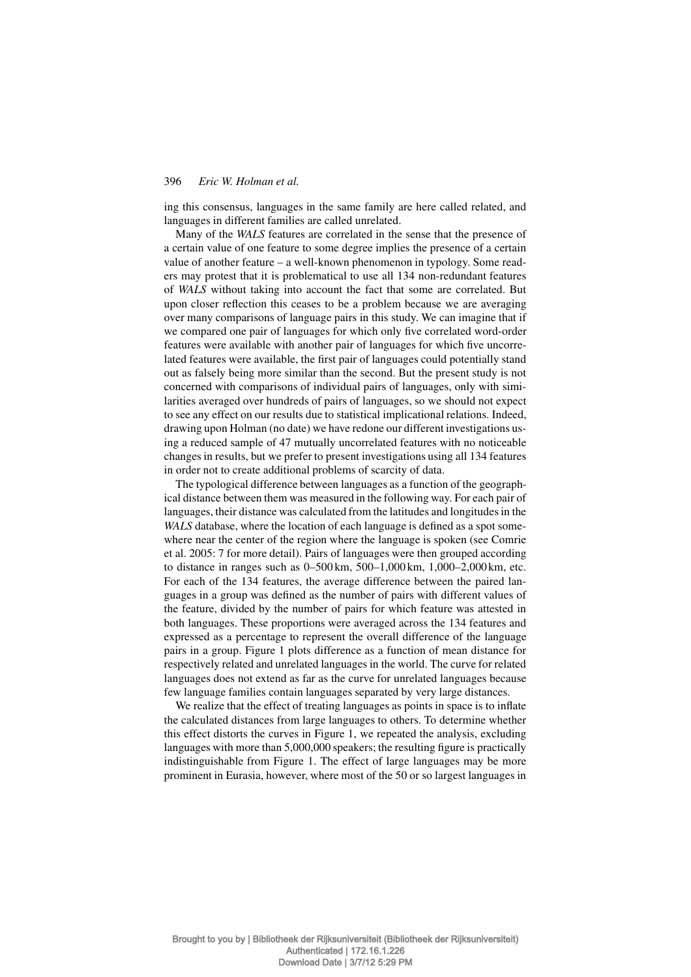ing this consensus, languages in the same family are here called related, and languages in different families are called unrelated.

Many of the *WALS* features are correlated in the sense that the presence of a certain value of one feature to some degree implies the presence of a certain value of another feature – a well-known phenomenon in typology. Some readers may protest that it is problematical to use all 134 non-redundant features of *WALS* without taking into account the fact that some are correlated. But upon closer reflection this ceases to be a problem because we are averaging over many comparisons of language pairs in this study. We can imagine that if we compared one pair of languages for which only five correlated word-order features were available with another pair of languages for which five uncorrelated features were available, the first pair of languages could potentially stand out as falsely being more similar than the second. But the present study is not concerned with comparisons of individual pairs of languages, only with similarities averaged over hundreds of pairs of languages, so we should not expect to see any effect on our results due to statistical implicational relations. Indeed, drawing upon Holman (no date) we have redone our different investigations using a reduced sample of 47 mutually uncorrelated features with no noticeable changes in results, but we prefer to present investigations using all 134 features in order not to create additional problems of scarcity of data.

The typological difference between languages as a function of the geographical distance between them was measured in the following way. For each pair of languages, their distance was calculated from the latitudes and longitudes in the *WALS* database, where the location of each language is defined as a spot somewhere near the center of the region where the language is spoken (see Comrie et al. 2005: 7 for more detail). Pairs of languages were then grouped according to distance in ranges such as 0–500 km, 500–1,000 km, 1,000–2,000km, etc. For each of the 134 features, the average difference between the paired languages in a group was defined as the number of pairs with different values of the feature, divided by the number of pairs for which feature was attested in both languages. These proportions were averaged across the 134 features and expressed as a percentage to represent the overall difference of the language pairs in a group. Figure 1 plots difference as a function of mean distance for respectively related and unrelated languages in the world. The curve for related languages does not extend as far as the curve for unrelated languages because few language families contain languages separated by very large distances.

We realize that the effect of treating languages as points in space is to inflate the calculated distances from large languages to others. To determine whether this effect distorts the curves in Figure 1, we repeated the analysis, excluding languages with more than 5,000,000 speakers; the resulting figure is practically indistinguishable from Figure 1. The effect of large languages may be more prominent in Eurasia, however, where most of the 50 or so largest languages in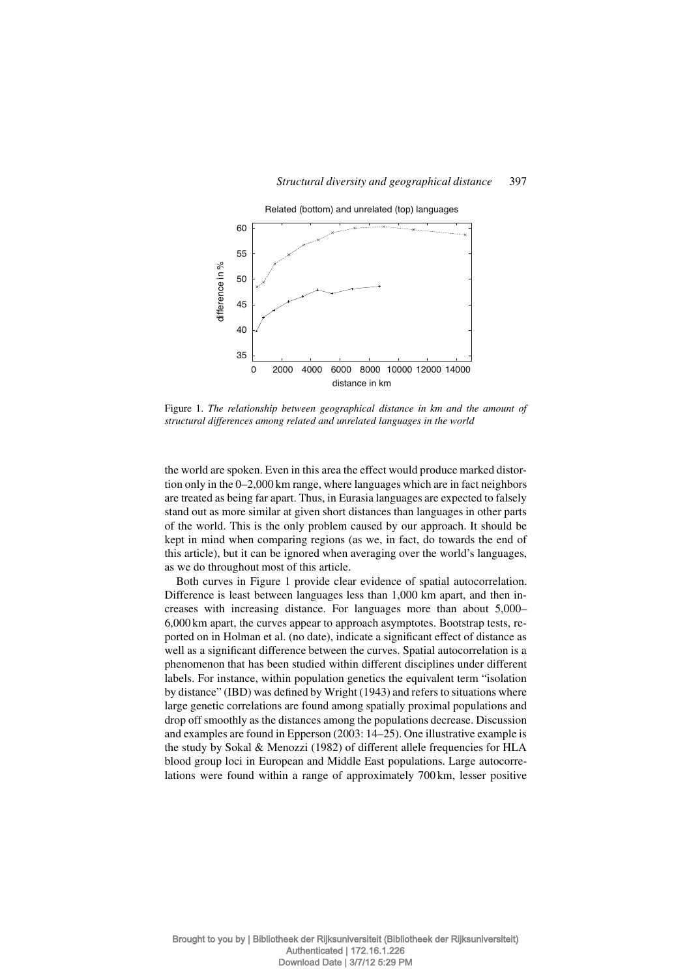#### *Structural diversity and geographical distance* 397



Figure 1. *The relationship between geographical distance in km and the amount of*

*structural differences among related and unrelated languages in the world*

the world are spoken. Even in this area the effect would produce marked distortion only in the 0–2,000 km range, where languages which are in fact neighbors are treated as being far apart. Thus, in Eurasia languages are expected to falsely stand out as more similar at given short distances than languages in other parts of the world. This is the only problem caused by our approach. It should be kept in mind when comparing regions (as we, in fact, do towards the end of this article), but it can be ignored when averaging over the world's languages, as we do throughout most of this article.

Both curves in Figure 1 provide clear evidence of spatial autocorrelation. Difference is least between languages less than 1,000 km apart, and then increases with increasing distance. For languages more than about 5,000– 6,000 km apart, the curves appear to approach asymptotes. Bootstrap tests, reported on in Holman et al. (no date), indicate a significant effect of distance as well as a significant difference between the curves. Spatial autocorrelation is a phenomenon that has been studied within different disciplines under different labels. For instance, within population genetics the equivalent term "isolation by distance" (IBD) was defined by Wright (1943) and refers to situations where large genetic correlations are found among spatially proximal populations and drop off smoothly as the distances among the populations decrease. Discussion and examples are found in Epperson (2003: 14–25). One illustrative example is the study by Sokal & Menozzi (1982) of different allele frequencies for HLA blood group loci in European and Middle East populations. Large autocorrelations were found within a range of approximately 700 km, lesser positive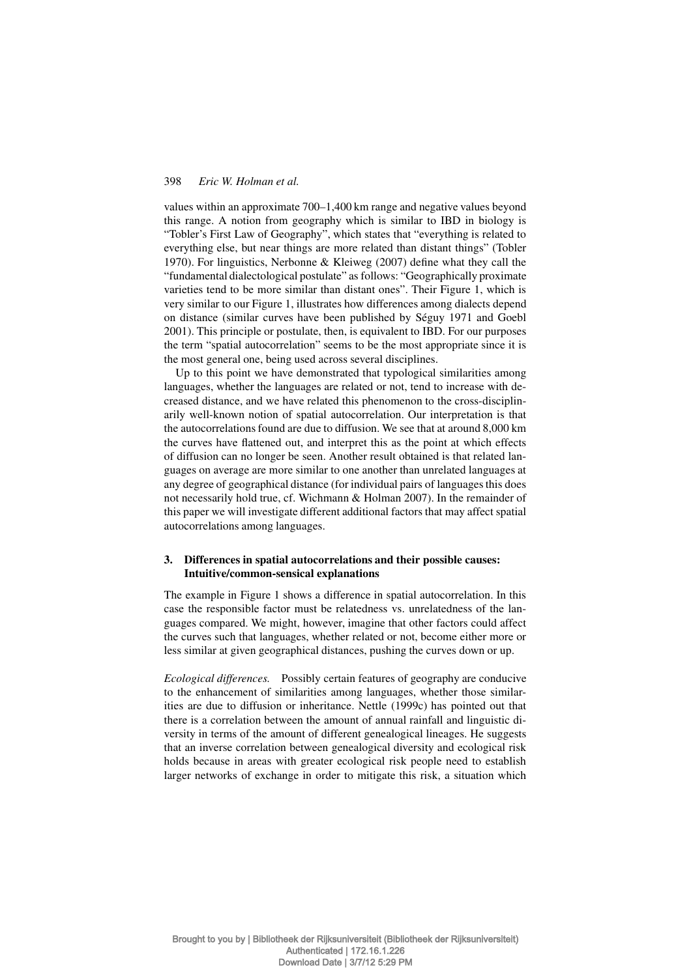values within an approximate 700–1,400 km range and negative values beyond this range. A notion from geography which is similar to IBD in biology is "Tobler's First Law of Geography", which states that "everything is related to everything else, but near things are more related than distant things" (Tobler 1970). For linguistics, Nerbonne & Kleiweg (2007) define what they call the "fundamental dialectological postulate" as follows: "Geographically proximate varieties tend to be more similar than distant ones". Their Figure 1, which is very similar to our Figure 1, illustrates how differences among dialects depend on distance (similar curves have been published by Séguy 1971 and Goebl 2001). This principle or postulate, then, is equivalent to IBD. For our purposes the term "spatial autocorrelation" seems to be the most appropriate since it is the most general one, being used across several disciplines.

Up to this point we have demonstrated that typological similarities among languages, whether the languages are related or not, tend to increase with decreased distance, and we have related this phenomenon to the cross-disciplinarily well-known notion of spatial autocorrelation. Our interpretation is that the autocorrelations found are due to diffusion. We see that at around 8,000 km the curves have flattened out, and interpret this as the point at which effects of diffusion can no longer be seen. Another result obtained is that related languages on average are more similar to one another than unrelated languages at any degree of geographical distance (for individual pairs of languages this does not necessarily hold true, cf. Wichmann & Holman 2007). In the remainder of this paper we will investigate different additional factors that may affect spatial autocorrelations among languages.

# 3. Differences in spatial autocorrelations and their possible causes: Intuitive/common-sensical explanations

The example in Figure 1 shows a difference in spatial autocorrelation. In this case the responsible factor must be relatedness vs. unrelatedness of the languages compared. We might, however, imagine that other factors could affect the curves such that languages, whether related or not, become either more or less similar at given geographical distances, pushing the curves down or up.

*Ecological differences.* Possibly certain features of geography are conducive to the enhancement of similarities among languages, whether those similarities are due to diffusion or inheritance. Nettle (1999c) has pointed out that there is a correlation between the amount of annual rainfall and linguistic diversity in terms of the amount of different genealogical lineages. He suggests that an inverse correlation between genealogical diversity and ecological risk holds because in areas with greater ecological risk people need to establish larger networks of exchange in order to mitigate this risk, a situation which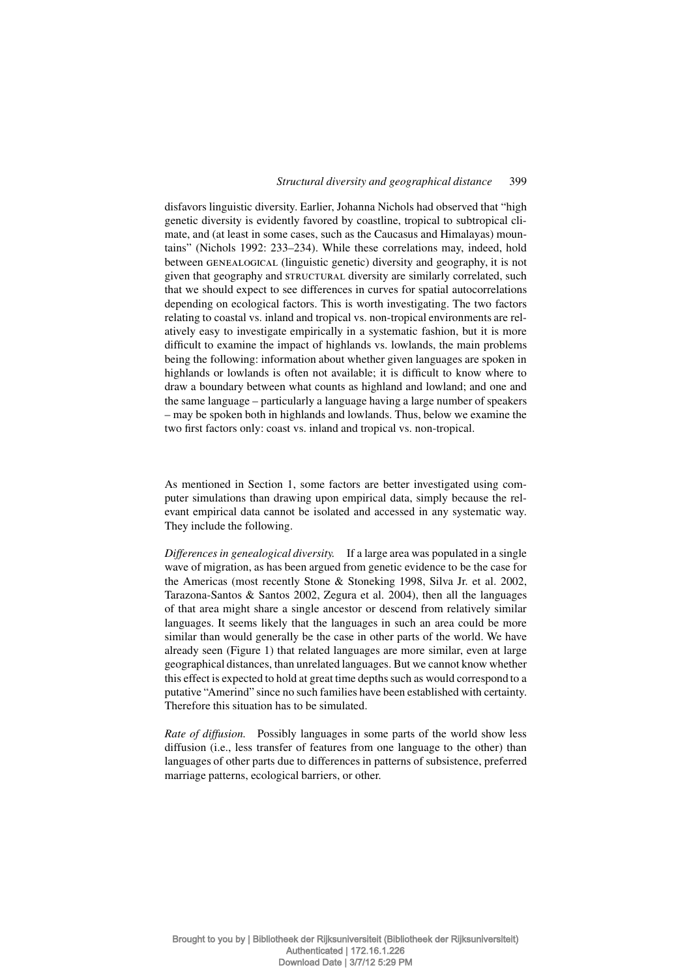disfavors linguistic diversity. Earlier, Johanna Nichols had observed that "high genetic diversity is evidently favored by coastline, tropical to subtropical climate, and (at least in some cases, such as the Caucasus and Himalayas) mountains" (Nichols 1992: 233–234). While these correlations may, indeed, hold between GENEALOGICAL (linguistic genetic) diversity and geography, it is not given that geography and structure. diversity are similarly correlated, such that we should expect to see differences in curves for spatial autocorrelations depending on ecological factors. This is worth investigating. The two factors relating to coastal vs. inland and tropical vs. non-tropical environments are relatively easy to investigate empirically in a systematic fashion, but it is more difficult to examine the impact of highlands vs. lowlands, the main problems being the following: information about whether given languages are spoken in highlands or lowlands is often not available; it is difficult to know where to draw a boundary between what counts as highland and lowland; and one and the same language – particularly a language having a large number of speakers – may be spoken both in highlands and lowlands. Thus, below we examine the two first factors only: coast vs. inland and tropical vs. non-tropical.

As mentioned in Section 1, some factors are better investigated using computer simulations than drawing upon empirical data, simply because the relevant empirical data cannot be isolated and accessed in any systematic way. They include the following.

*Differences in genealogical diversity.* If a large area was populated in a single wave of migration, as has been argued from genetic evidence to be the case for the Americas (most recently Stone & Stoneking 1998, Silva Jr. et al. 2002, Tarazona-Santos & Santos 2002, Zegura et al. 2004), then all the languages of that area might share a single ancestor or descend from relatively similar languages. It seems likely that the languages in such an area could be more similar than would generally be the case in other parts of the world. We have already seen (Figure 1) that related languages are more similar, even at large geographical distances, than unrelated languages. But we cannot know whether this effect is expected to hold at great time depths such as would correspond to a putative "Amerind" since no such families have been established with certainty. Therefore this situation has to be simulated.

*Rate of diffusion.* Possibly languages in some parts of the world show less diffusion (i.e., less transfer of features from one language to the other) than languages of other parts due to differences in patterns of subsistence, preferred marriage patterns, ecological barriers, or other.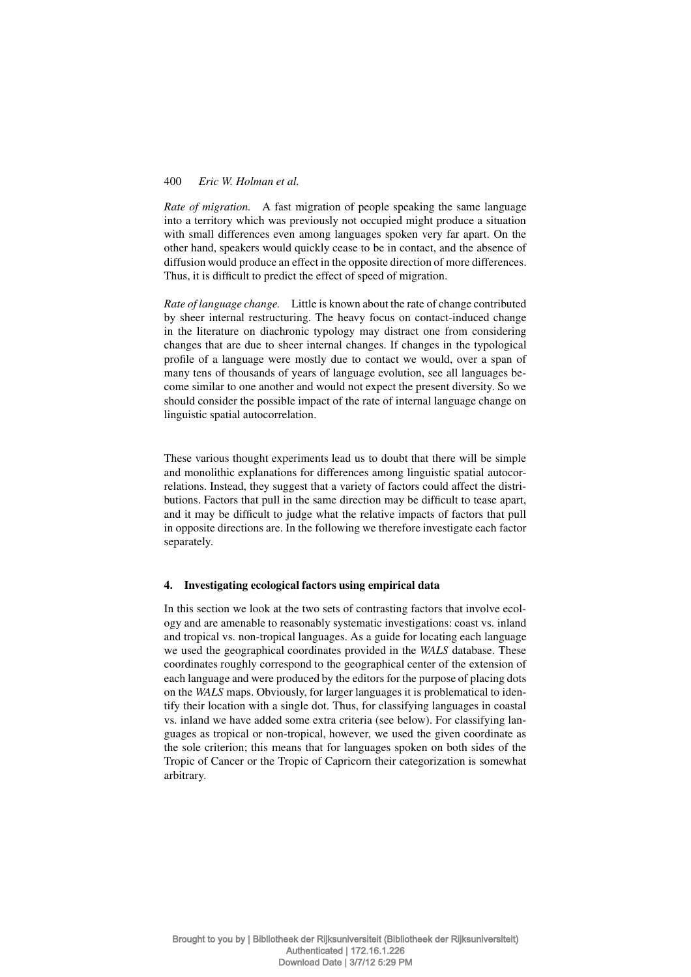*Rate of migration.* A fast migration of people speaking the same language into a territory which was previously not occupied might produce a situation with small differences even among languages spoken very far apart. On the other hand, speakers would quickly cease to be in contact, and the absence of diffusion would produce an effect in the opposite direction of more differences. Thus, it is difficult to predict the effect of speed of migration.

*Rate of language change.* Little is known about the rate of change contributed by sheer internal restructuring. The heavy focus on contact-induced change in the literature on diachronic typology may distract one from considering changes that are due to sheer internal changes. If changes in the typological profile of a language were mostly due to contact we would, over a span of many tens of thousands of years of language evolution, see all languages become similar to one another and would not expect the present diversity. So we should consider the possible impact of the rate of internal language change on linguistic spatial autocorrelation.

These various thought experiments lead us to doubt that there will be simple and monolithic explanations for differences among linguistic spatial autocorrelations. Instead, they suggest that a variety of factors could affect the distributions. Factors that pull in the same direction may be difficult to tease apart, and it may be difficult to judge what the relative impacts of factors that pull in opposite directions are. In the following we therefore investigate each factor separately.

### 4. Investigating ecological factors using empirical data

In this section we look at the two sets of contrasting factors that involve ecology and are amenable to reasonably systematic investigations: coast vs. inland and tropical vs. non-tropical languages. As a guide for locating each language we used the geographical coordinates provided in the *WALS* database. These coordinates roughly correspond to the geographical center of the extension of each language and were produced by the editors for the purpose of placing dots on the *WALS* maps. Obviously, for larger languages it is problematical to identify their location with a single dot. Thus, for classifying languages in coastal vs. inland we have added some extra criteria (see below). For classifying languages as tropical or non-tropical, however, we used the given coordinate as the sole criterion; this means that for languages spoken on both sides of the Tropic of Cancer or the Tropic of Capricorn their categorization is somewhat arbitrary.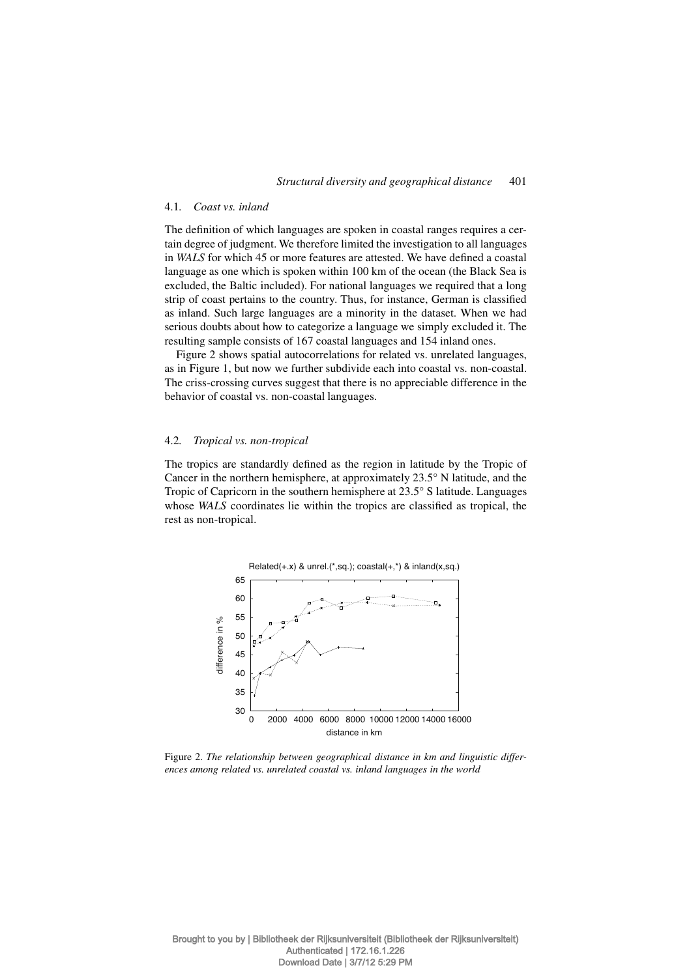# 4.1*. Coast vs. inland*

The definition of which languages are spoken in coastal ranges requires a certain degree of judgment. We therefore limited the investigation to all languages in *WALS* for which 45 or more features are attested. We have defined a coastal language as one which is spoken within 100 km of the ocean (the Black Sea is excluded, the Baltic included). For national languages we required that a long strip of coast pertains to the country. Thus, for instance, German is classified as inland. Such large languages are a minority in the dataset. When we had serious doubts about how to categorize a language we simply excluded it. The resulting sample consists of 167 coastal languages and 154 inland ones.

Figure 2 shows spatial autocorrelations for related vs. unrelated languages, as in Figure 1, but now we further subdivide each into coastal vs. non-coastal. The criss-crossing curves suggest that there is no appreciable difference in the behavior of coastal vs. non-coastal languages.

# 4.2*. Tropical vs. non-tropical*

The tropics are standardly defined as the region in latitude by the Tropic of Cancer in the northern hemisphere, at approximately 23.5° N latitude, and the Tropic of Capricorn in the southern hemisphere at 23.5° S latitude. Languages whose *WALS* coordinates lie within the tropics are classified as tropical, the rest as non-tropical.



Figure 2. *The relationship between geographical distance in km and linguistic differences among related vs. unrelated coastal vs. inland languages in the world*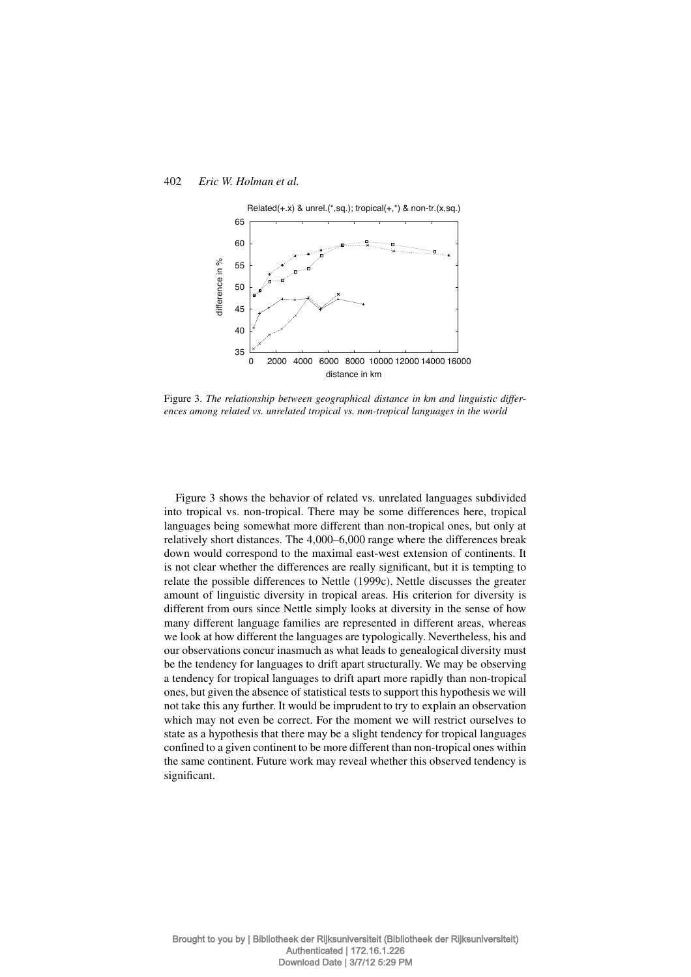



Figure 3. *The relationship between geographical distance in km and linguistic differences among related vs. unrelated tropical vs. non-tropical languages in the world*

Figure 3 shows the behavior of related vs. unrelated languages subdivided into tropical vs. non-tropical. There may be some differences here, tropical languages being somewhat more different than non-tropical ones, but only at relatively short distances. The 4,000–6,000 range where the differences break down would correspond to the maximal east-west extension of continents. It is not clear whether the differences are really significant, but it is tempting to relate the possible differences to Nettle (1999c). Nettle discusses the greater amount of linguistic diversity in tropical areas. His criterion for diversity is different from ours since Nettle simply looks at diversity in the sense of how many different language families are represented in different areas, whereas we look at how different the languages are typologically. Nevertheless, his and our observations concur inasmuch as what leads to genealogical diversity must be the tendency for languages to drift apart structurally. We may be observing a tendency for tropical languages to drift apart more rapidly than non-tropical ones, but given the absence of statistical tests to support this hypothesis we will not take this any further. It would be imprudent to try to explain an observation which may not even be correct. For the moment we will restrict ourselves to state as a hypothesis that there may be a slight tendency for tropical languages confined to a given continent to be more different than non-tropical ones within the same continent. Future work may reveal whether this observed tendency is significant.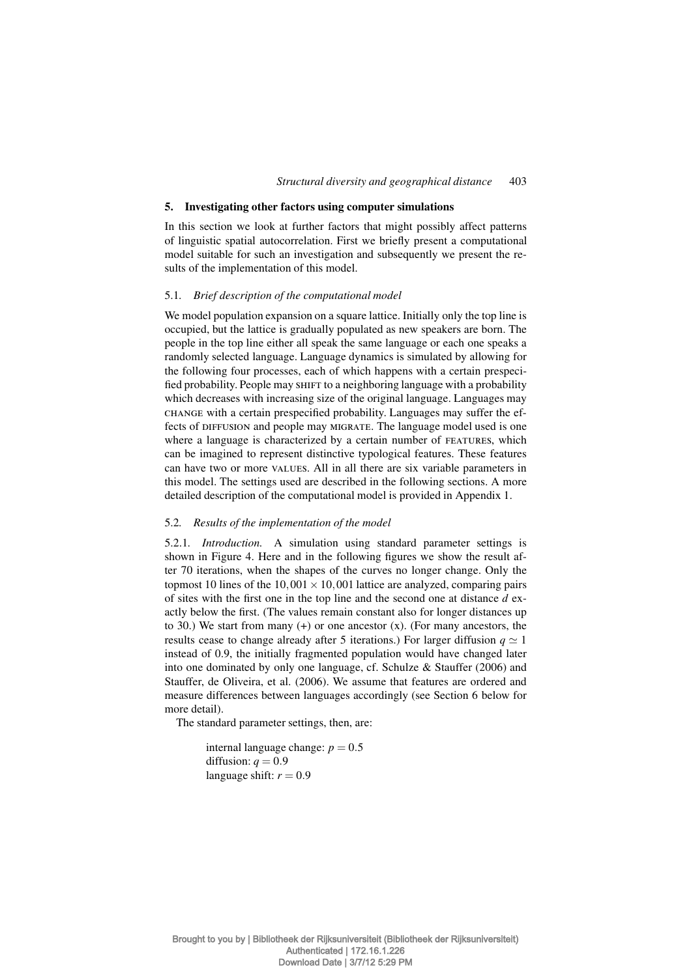### 5. Investigating other factors using computer simulations

In this section we look at further factors that might possibly affect patterns of linguistic spatial autocorrelation. First we briefly present a computational model suitable for such an investigation and subsequently we present the results of the implementation of this model.

#### 5.1*. Brief description of the computational model*

We model population expansion on a square lattice. Initially only the top line is occupied, but the lattice is gradually populated as new speakers are born. The people in the top line either all speak the same language or each one speaks a randomly selected language. Language dynamics is simulated by allowing for the following four processes, each of which happens with a certain prespecified probability. People may shift to a neighboring language with a probability which decreases with increasing size of the original language. Languages may change with a certain prespecified probability. Languages may suffer the effects of DIFFUSION and people may MIGRATE. The language model used is one where a language is characterized by a certain number of FEATURES, which can be imagined to represent distinctive typological features. These features can have two or more values. All in all there are six variable parameters in this model. The settings used are described in the following sections. A more detailed description of the computational model is provided in Appendix 1.

### 5.2*. Results of the implementation of the model*

5.2.1*. Introduction.* A simulation using standard parameter settings is shown in Figure 4. Here and in the following figures we show the result after 70 iterations, when the shapes of the curves no longer change. Only the topmost 10 lines of the  $10,001 \times 10,001$  lattice are analyzed, comparing pairs of sites with the first one in the top line and the second one at distance *d* exactly below the first. (The values remain constant also for longer distances up to 30.) We start from many  $(+)$  or one ancestor  $(x)$ . (For many ancestors, the results cease to change already after 5 iterations.) For larger diffusion  $q \simeq 1$ instead of 0.9, the initially fragmented population would have changed later into one dominated by only one language, cf. Schulze & Stauffer (2006) and Stauffer, de Oliveira, et al. (2006). We assume that features are ordered and measure differences between languages accordingly (see Section 6 below for more detail).

The standard parameter settings, then, are:

internal language change:  $p = 0.5$ diffusion:  $q = 0.9$ language shift:  $r = 0.9$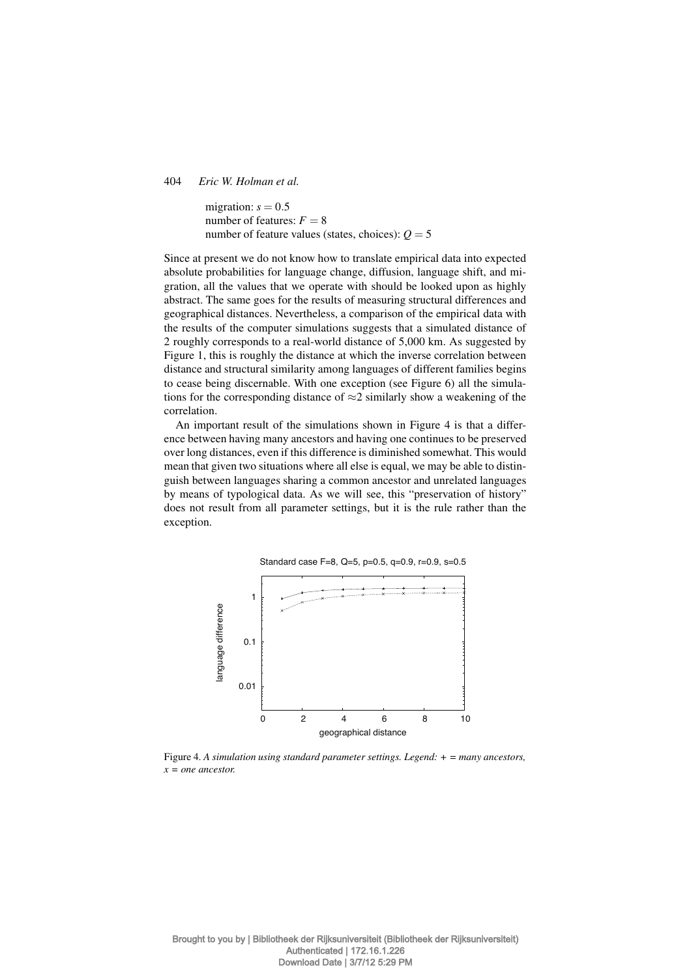migration:  $s = 0.5$ number of features:  $F = 8$ number of feature values (states, choices):  $Q = 5$ 

Since at present we do not know how to translate empirical data into expected absolute probabilities for language change, diffusion, language shift, and migration, all the values that we operate with should be looked upon as highly abstract. The same goes for the results of measuring structural differences and geographical distances. Nevertheless, a comparison of the empirical data with the results of the computer simulations suggests that a simulated distance of 2 roughly corresponds to a real-world distance of 5,000 km. As suggested by Figure 1, this is roughly the distance at which the inverse correlation between distance and structural similarity among languages of different families begins to cease being discernable. With one exception (see Figure 6) all the simulations for the corresponding distance of  $\approx$ 2 similarly show a weakening of the correlation.

An important result of the simulations shown in Figure 4 is that a difference between having many ancestors and having one continues to be preserved over long distances, even if this difference is diminished somewhat. This would mean that given two situations where all else is equal, we may be able to distinguish between languages sharing a common ancestor and unrelated languages by means of typological data. As we will see, this "preservation of history" does not result from all parameter settings, but it is the rule rather than the exception.



Figure 4. *A simulation using standard parameter settings. Legend: + = many ancestors, x = one ancestor.*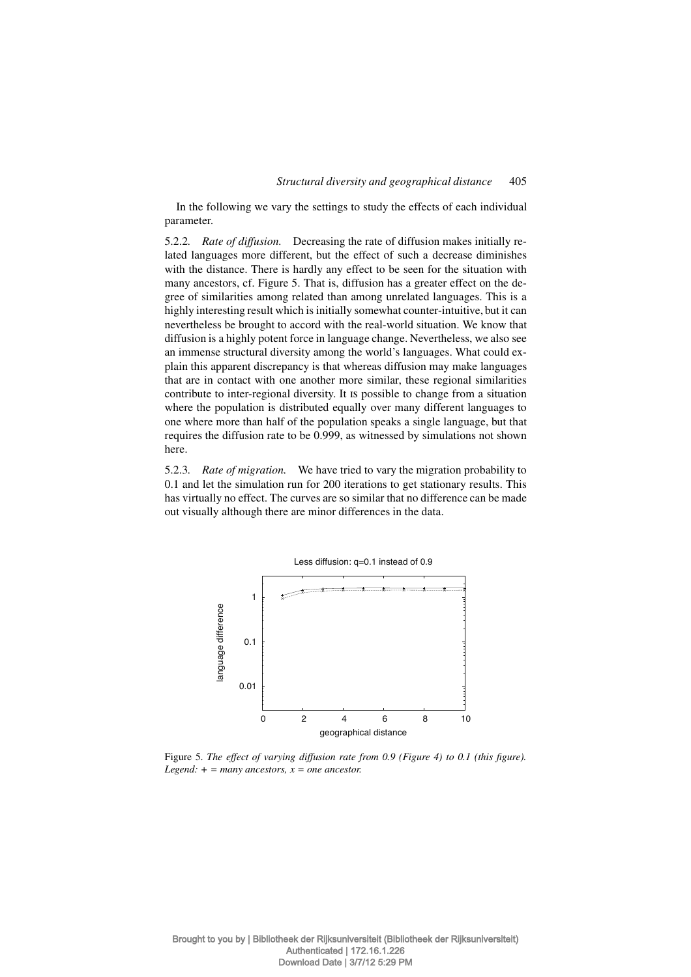In the following we vary the settings to study the effects of each individual parameter.

5.2.2*. Rate of diffusion.* Decreasing the rate of diffusion makes initially related languages more different, but the effect of such a decrease diminishes with the distance. There is hardly any effect to be seen for the situation with many ancestors, cf. Figure 5. That is, diffusion has a greater effect on the degree of similarities among related than among unrelated languages. This is a highly interesting result which is initially somewhat counter-intuitive, but it can nevertheless be brought to accord with the real-world situation. We know that diffusion is a highly potent force in language change. Nevertheless, we also see an immense structural diversity among the world's languages. What could explain this apparent discrepancy is that whereas diffusion may make languages that are in contact with one another more similar, these regional similarities contribute to inter-regional diversity. It is possible to change from a situation where the population is distributed equally over many different languages to one where more than half of the population speaks a single language, but that requires the diffusion rate to be 0.999, as witnessed by simulations not shown here.

5.2.3*. Rate of migration.* We have tried to vary the migration probability to 0.1 and let the simulation run for 200 iterations to get stationary results. This has virtually no effect. The curves are so similar that no difference can be made out visually although there are minor differences in the data.



Figure 5. *The effect of varying diffusion rate from 0.9 (Figure 4) to 0.1 (this figure). Legend: + = many ancestors, x = one ancestor.*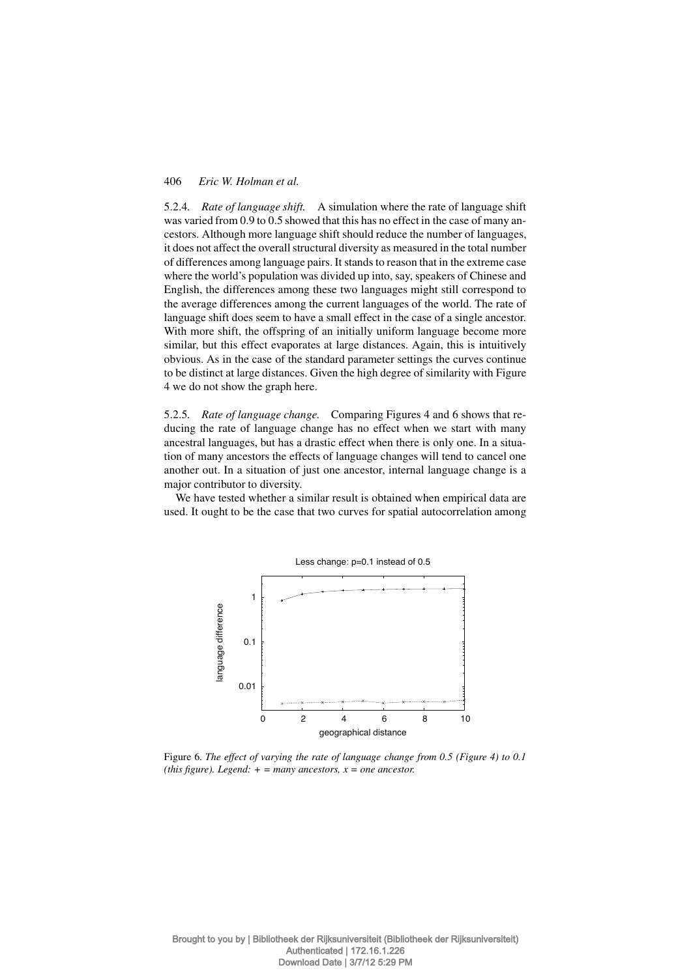5.2.4*. Rate of language shift.* A simulation where the rate of language shift was varied from 0.9 to 0.5 showed that this has no effect in the case of many ancestors. Although more language shift should reduce the number of languages, it does not affect the overall structural diversity as measured in the total number of differences among language pairs. It stands to reason that in the extreme case where the world's population was divided up into, say, speakers of Chinese and English, the differences among these two languages might still correspond to the average differences among the current languages of the world. The rate of language shift does seem to have a small effect in the case of a single ancestor. With more shift, the offspring of an initially uniform language become more similar, but this effect evaporates at large distances. Again, this is intuitively obvious. As in the case of the standard parameter settings the curves continue to be distinct at large distances. Given the high degree of similarity with Figure 4 we do not show the graph here.

5.2.5*. Rate of language change.* Comparing Figures 4 and 6 shows that reducing the rate of language change has no effect when we start with many ancestral languages, but has a drastic effect when there is only one. In a situation of many ancestors the effects of language changes will tend to cancel one another out. In a situation of just one ancestor, internal language change is a major contributor to diversity.

We have tested whether a similar result is obtained when empirical data are used. It ought to be the case that two curves for spatial autocorrelation among



Figure 6. *The effect of varying the rate of language change from 0.5 (Figure 4) to 0.1 (this figure). Legend: + = many ancestors, x = one ancestor.*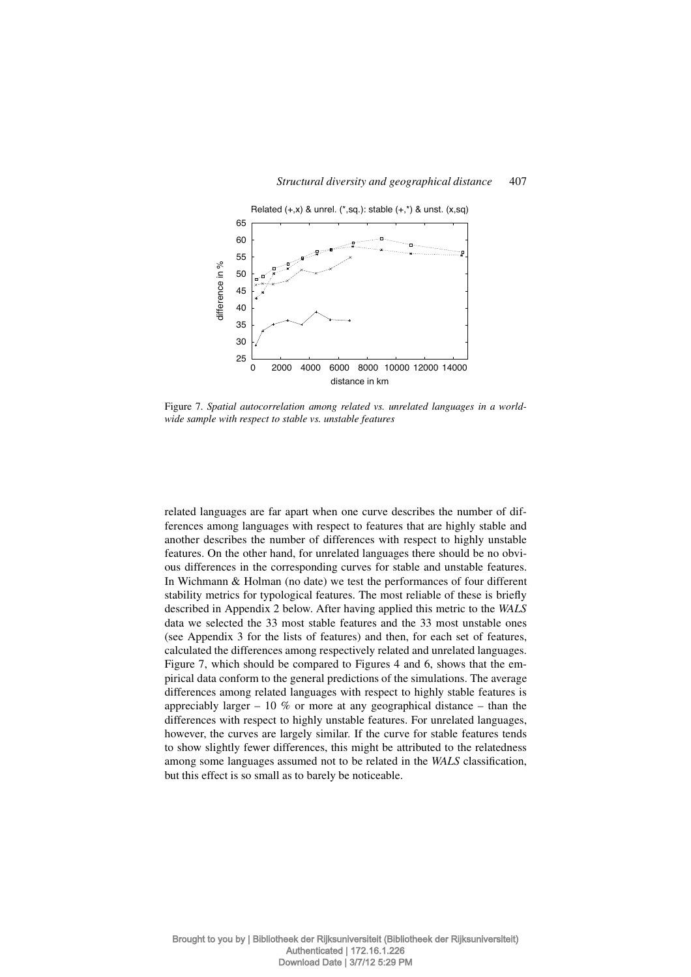### *Structural diversity and geographical distance* 407



Figure 7. *Spatial autocorrelation among related vs. unrelated languages in a worldwide sample with respect to stable vs. unstable features*

related languages are far apart when one curve describes the number of differences among languages with respect to features that are highly stable and another describes the number of differences with respect to highly unstable features. On the other hand, for unrelated languages there should be no obvious differences in the corresponding curves for stable and unstable features. In Wichmann & Holman (no date) we test the performances of four different stability metrics for typological features. The most reliable of these is briefly described in Appendix 2 below. After having applied this metric to the *WALS* data we selected the 33 most stable features and the 33 most unstable ones (see Appendix 3 for the lists of features) and then, for each set of features, calculated the differences among respectively related and unrelated languages. Figure 7, which should be compared to Figures 4 and 6, shows that the empirical data conform to the general predictions of the simulations. The average differences among related languages with respect to highly stable features is appreciably larger – 10  $\%$  or more at any geographical distance – than the differences with respect to highly unstable features. For unrelated languages, however, the curves are largely similar. If the curve for stable features tends to show slightly fewer differences, this might be attributed to the relatedness among some languages assumed not to be related in the *WALS* classification, but this effect is so small as to barely be noticeable.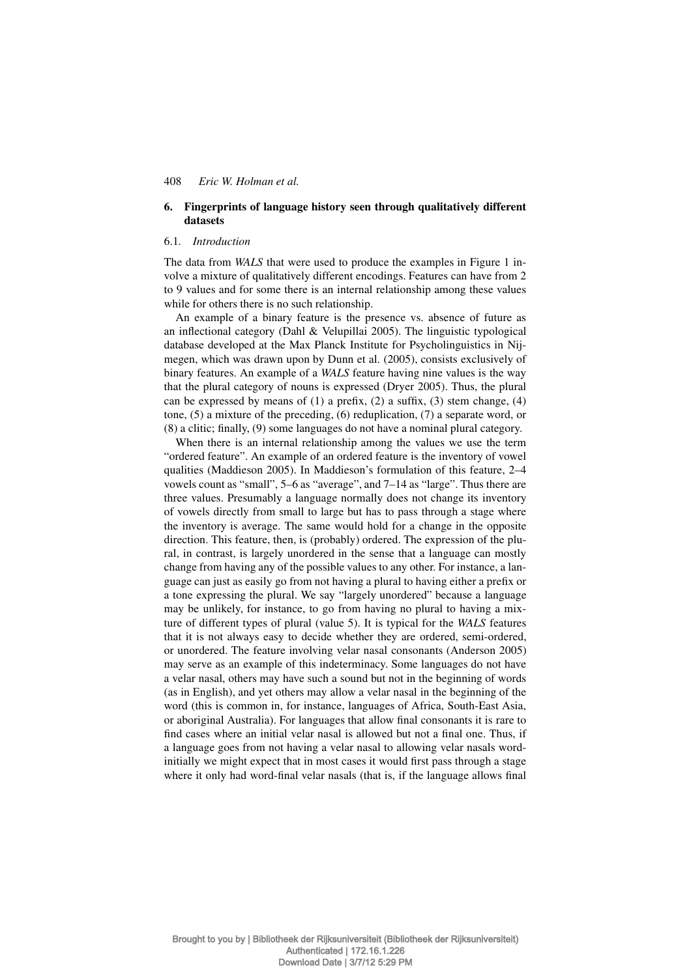# 6. Fingerprints of language history seen through qualitatively different datasets

### 6.1*. Introduction*

The data from *WALS* that were used to produce the examples in Figure 1 involve a mixture of qualitatively different encodings. Features can have from 2 to 9 values and for some there is an internal relationship among these values while for others there is no such relationship.

An example of a binary feature is the presence vs. absence of future as an inflectional category (Dahl & Velupillai 2005). The linguistic typological database developed at the Max Planck Institute for Psycholinguistics in Nijmegen, which was drawn upon by Dunn et al. (2005), consists exclusively of binary features. An example of a *WALS* feature having nine values is the way that the plural category of nouns is expressed (Dryer 2005). Thus, the plural can be expressed by means of (1) a prefix, (2) a suffix, (3) stem change, (4) tone, (5) a mixture of the preceding, (6) reduplication, (7) a separate word, or (8) a clitic; finally, (9) some languages do not have a nominal plural category.

When there is an internal relationship among the values we use the term "ordered feature". An example of an ordered feature is the inventory of vowel qualities (Maddieson 2005). In Maddieson's formulation of this feature, 2–4 vowels count as "small", 5–6 as "average", and 7–14 as "large". Thus there are three values. Presumably a language normally does not change its inventory of vowels directly from small to large but has to pass through a stage where the inventory is average. The same would hold for a change in the opposite direction. This feature, then, is (probably) ordered. The expression of the plural, in contrast, is largely unordered in the sense that a language can mostly change from having any of the possible values to any other. For instance, a language can just as easily go from not having a plural to having either a prefix or a tone expressing the plural. We say "largely unordered" because a language may be unlikely, for instance, to go from having no plural to having a mixture of different types of plural (value 5). It is typical for the *WALS* features that it is not always easy to decide whether they are ordered, semi-ordered, or unordered. The feature involving velar nasal consonants (Anderson 2005) may serve as an example of this indeterminacy. Some languages do not have a velar nasal, others may have such a sound but not in the beginning of words (as in English), and yet others may allow a velar nasal in the beginning of the word (this is common in, for instance, languages of Africa, South-East Asia, or aboriginal Australia). For languages that allow final consonants it is rare to find cases where an initial velar nasal is allowed but not a final one. Thus, if a language goes from not having a velar nasal to allowing velar nasals wordinitially we might expect that in most cases it would first pass through a stage where it only had word-final velar nasals (that is, if the language allows final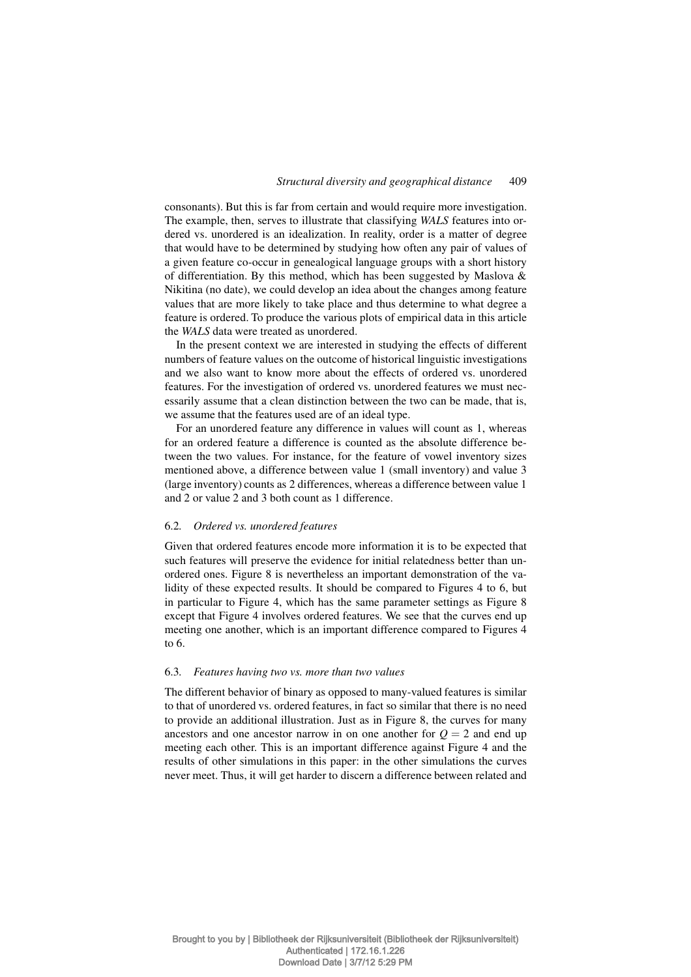consonants). But this is far from certain and would require more investigation. The example, then, serves to illustrate that classifying *WALS* features into ordered vs. unordered is an idealization. In reality, order is a matter of degree that would have to be determined by studying how often any pair of values of a given feature co-occur in genealogical language groups with a short history of differentiation. By this method, which has been suggested by Maslova  $\&$ Nikitina (no date), we could develop an idea about the changes among feature values that are more likely to take place and thus determine to what degree a feature is ordered. To produce the various plots of empirical data in this article the *WALS* data were treated as unordered.

In the present context we are interested in studying the effects of different numbers of feature values on the outcome of historical linguistic investigations and we also want to know more about the effects of ordered vs. unordered features. For the investigation of ordered vs. unordered features we must necessarily assume that a clean distinction between the two can be made, that is, we assume that the features used are of an ideal type.

For an unordered feature any difference in values will count as 1, whereas for an ordered feature a difference is counted as the absolute difference between the two values. For instance, for the feature of vowel inventory sizes mentioned above, a difference between value 1 (small inventory) and value 3 (large inventory) counts as 2 differences, whereas a difference between value 1 and 2 or value 2 and 3 both count as 1 difference.

# 6.2*. Ordered vs. unordered features*

Given that ordered features encode more information it is to be expected that such features will preserve the evidence for initial relatedness better than unordered ones. Figure 8 is nevertheless an important demonstration of the validity of these expected results. It should be compared to Figures 4 to 6, but in particular to Figure 4, which has the same parameter settings as Figure 8 except that Figure 4 involves ordered features. We see that the curves end up meeting one another, which is an important difference compared to Figures 4 to 6.

# 6.3*. Features having two vs. more than two values*

The different behavior of binary as opposed to many-valued features is similar to that of unordered vs. ordered features, in fact so similar that there is no need to provide an additional illustration. Just as in Figure 8, the curves for many ancestors and one ancestor narrow in on one another for  $Q = 2$  and end up meeting each other. This is an important difference against Figure 4 and the results of other simulations in this paper: in the other simulations the curves never meet. Thus, it will get harder to discern a difference between related and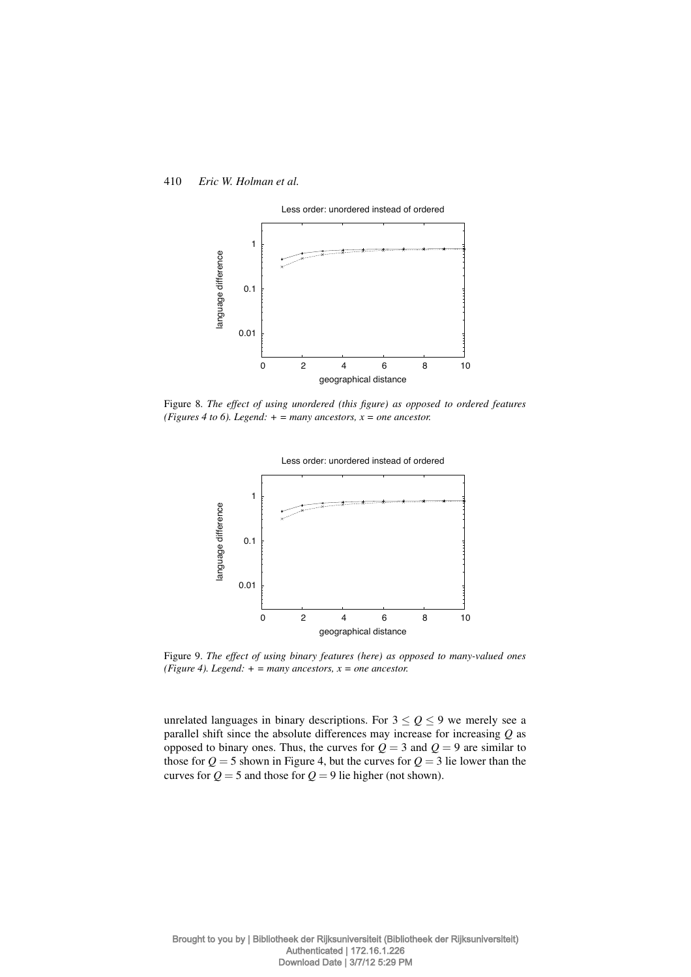



Figure 8. *The effect of using unordered (this figure) as opposed to ordered features (Figures 4 to 6). Legend: + = many ancestors, x = one ancestor.*



Figure 9. *The effect of using binary features (here) as opposed to many-valued ones (Figure 4). Legend: + = many ancestors, x = one ancestor.*

unrelated languages in binary descriptions. For  $3 \le Q \le 9$  we merely see a parallel shift since the absolute differences may increase for increasing *Q* as opposed to binary ones. Thus, the curves for  $Q = 3$  and  $Q = 9$  are similar to those for  $Q = 5$  shown in Figure 4, but the curves for  $Q = 3$  lie lower than the curves for  $Q = 5$  and those for  $Q = 9$  lie higher (not shown).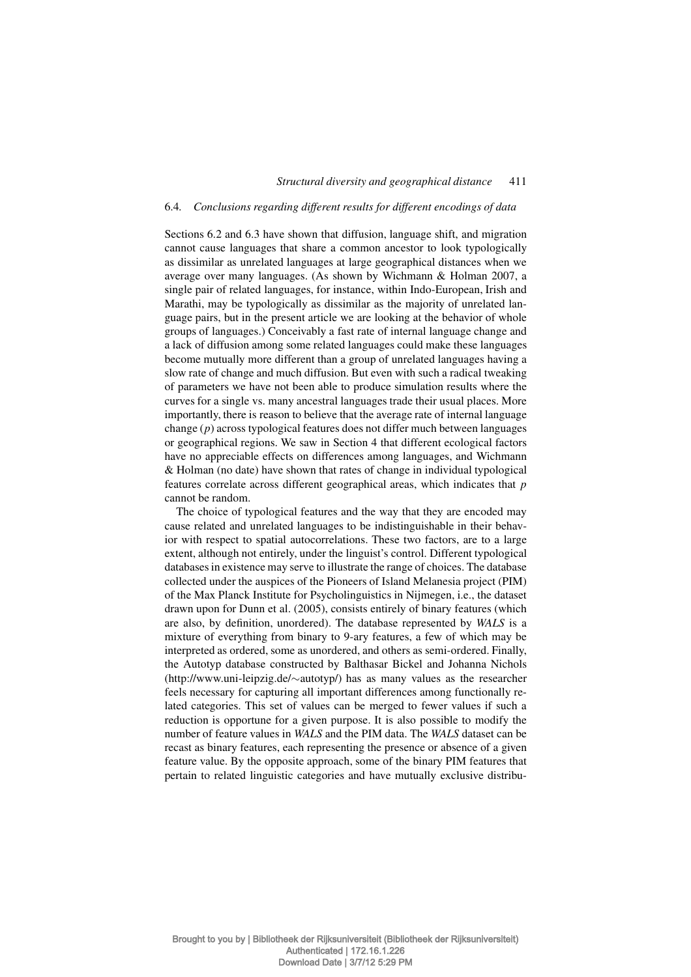#### *Structural diversity and geographical distance* 411

#### 6.4*. Conclusions regarding different results for different encodings of data*

Sections 6.2 and 6.3 have shown that diffusion, language shift, and migration cannot cause languages that share a common ancestor to look typologically as dissimilar as unrelated languages at large geographical distances when we average over many languages. (As shown by Wichmann & Holman 2007, a single pair of related languages, for instance, within Indo-European, Irish and Marathi, may be typologically as dissimilar as the majority of unrelated language pairs, but in the present article we are looking at the behavior of whole groups of languages.) Conceivably a fast rate of internal language change and a lack of diffusion among some related languages could make these languages become mutually more different than a group of unrelated languages having a slow rate of change and much diffusion. But even with such a radical tweaking of parameters we have not been able to produce simulation results where the curves for a single vs. many ancestral languages trade their usual places. More importantly, there is reason to believe that the average rate of internal language change (*p*) across typological features does not differ much between languages or geographical regions. We saw in Section 4 that different ecological factors have no appreciable effects on differences among languages, and Wichmann & Holman (no date) have shown that rates of change in individual typological features correlate across different geographical areas, which indicates that *p* cannot be random.

The choice of typological features and the way that they are encoded may cause related and unrelated languages to be indistinguishable in their behavior with respect to spatial autocorrelations. These two factors, are to a large extent, although not entirely, under the linguist's control. Different typological databases in existence may serve to illustrate the range of choices. The database collected under the auspices of the Pioneers of Island Melanesia project (PIM) of the Max Planck Institute for Psycholinguistics in Nijmegen, i.e., the dataset drawn upon for Dunn et al. (2005), consists entirely of binary features (which are also, by definition, unordered). The database represented by *WALS* is a mixture of everything from binary to 9-ary features, a few of which may be interpreted as ordered, some as unordered, and others as semi-ordered. Finally, the Autotyp database constructed by Balthasar Bickel and Johanna Nichols (http://www.uni-leipzig.de/∼autotyp/) has as many values as the researcher feels necessary for capturing all important differences among functionally related categories. This set of values can be merged to fewer values if such a reduction is opportune for a given purpose. It is also possible to modify the number of feature values in *WALS* and the PIM data. The *WALS* dataset can be recast as binary features, each representing the presence or absence of a given feature value. By the opposite approach, some of the binary PIM features that pertain to related linguistic categories and have mutually exclusive distribu-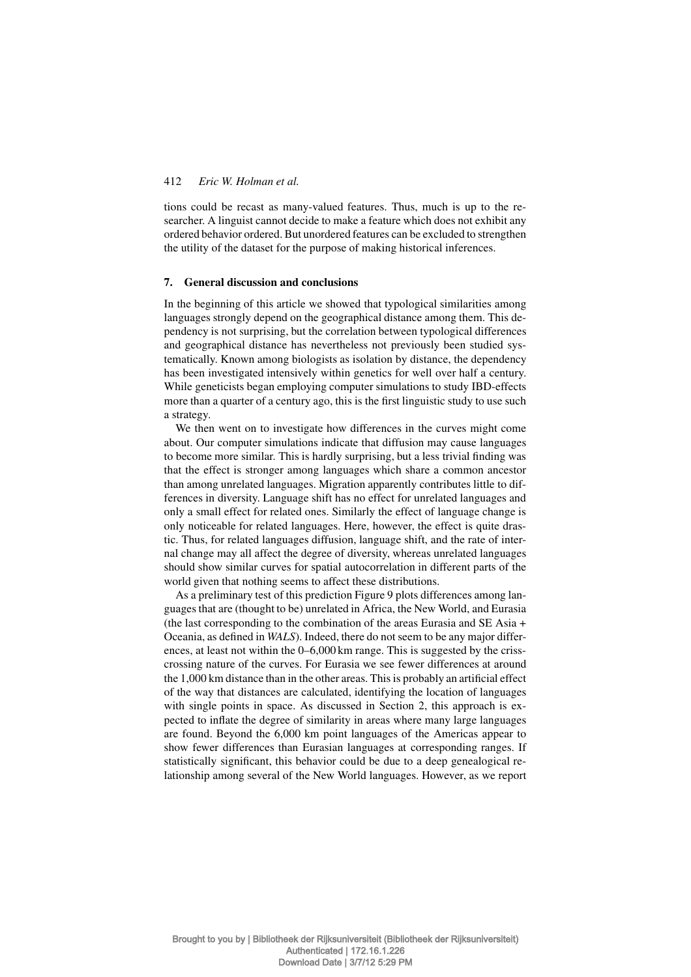tions could be recast as many-valued features. Thus, much is up to the researcher. A linguist cannot decide to make a feature which does not exhibit any ordered behavior ordered. But unordered features can be excluded to strengthen the utility of the dataset for the purpose of making historical inferences.

# 7. General discussion and conclusions

In the beginning of this article we showed that typological similarities among languages strongly depend on the geographical distance among them. This dependency is not surprising, but the correlation between typological differences and geographical distance has nevertheless not previously been studied systematically. Known among biologists as isolation by distance, the dependency has been investigated intensively within genetics for well over half a century. While geneticists began employing computer simulations to study IBD-effects more than a quarter of a century ago, this is the first linguistic study to use such a strategy.

We then went on to investigate how differences in the curves might come about. Our computer simulations indicate that diffusion may cause languages to become more similar. This is hardly surprising, but a less trivial finding was that the effect is stronger among languages which share a common ancestor than among unrelated languages. Migration apparently contributes little to differences in diversity. Language shift has no effect for unrelated languages and only a small effect for related ones. Similarly the effect of language change is only noticeable for related languages. Here, however, the effect is quite drastic. Thus, for related languages diffusion, language shift, and the rate of internal change may all affect the degree of diversity, whereas unrelated languages should show similar curves for spatial autocorrelation in different parts of the world given that nothing seems to affect these distributions.

As a preliminary test of this prediction Figure 9 plots differences among languages that are (thought to be) unrelated in Africa, the New World, and Eurasia (the last corresponding to the combination of the areas Eurasia and SE Asia + Oceania, as defined in *WALS*). Indeed, there do not seem to be any major differences, at least not within the 0–6,000 km range. This is suggested by the crisscrossing nature of the curves. For Eurasia we see fewer differences at around the 1,000 km distance than in the other areas. This is probably an artificial effect of the way that distances are calculated, identifying the location of languages with single points in space. As discussed in Section 2, this approach is expected to inflate the degree of similarity in areas where many large languages are found. Beyond the 6,000 km point languages of the Americas appear to show fewer differences than Eurasian languages at corresponding ranges. If statistically significant, this behavior could be due to a deep genealogical relationship among several of the New World languages. However, as we report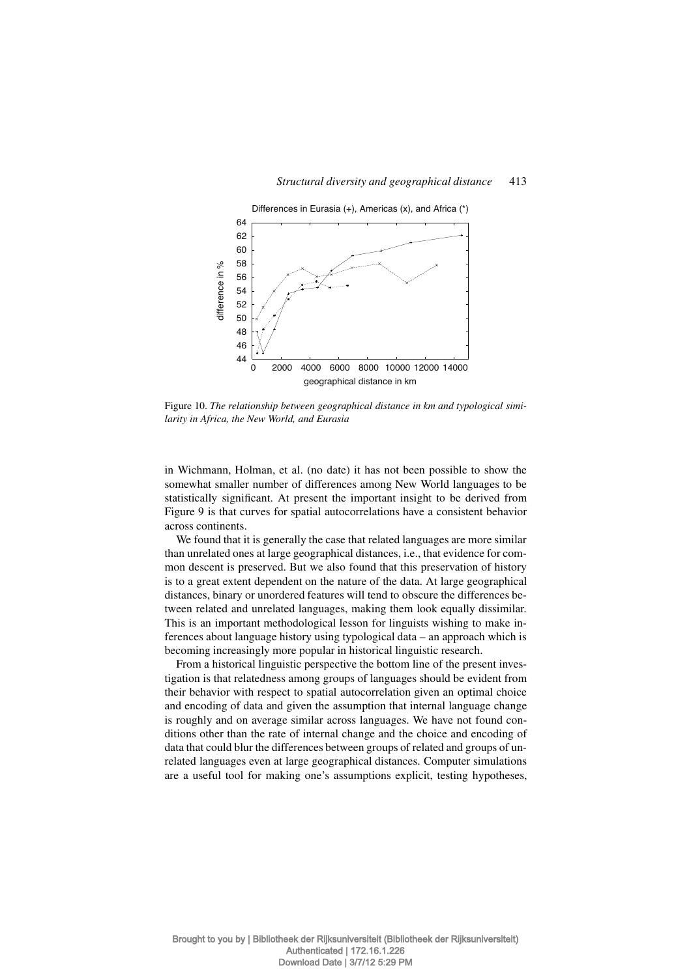#### *Structural diversity and geographical distance* 413



Figure 10. *The relationship between geographical distance in km and typological similarity in Africa, the New World, and Eurasia*

in Wichmann, Holman, et al. (no date) it has not been possible to show the somewhat smaller number of differences among New World languages to be statistically significant. At present the important insight to be derived from Figure 9 is that curves for spatial autocorrelations have a consistent behavior across continents.

We found that it is generally the case that related languages are more similar than unrelated ones at large geographical distances, i.e., that evidence for common descent is preserved. But we also found that this preservation of history is to a great extent dependent on the nature of the data. At large geographical distances, binary or unordered features will tend to obscure the differences between related and unrelated languages, making them look equally dissimilar. This is an important methodological lesson for linguists wishing to make inferences about language history using typological data – an approach which is becoming increasingly more popular in historical linguistic research.

From a historical linguistic perspective the bottom line of the present investigation is that relatedness among groups of languages should be evident from their behavior with respect to spatial autocorrelation given an optimal choice and encoding of data and given the assumption that internal language change is roughly and on average similar across languages. We have not found conditions other than the rate of internal change and the choice and encoding of data that could blur the differences between groups of related and groups of unrelated languages even at large geographical distances. Computer simulations are a useful tool for making one's assumptions explicit, testing hypotheses,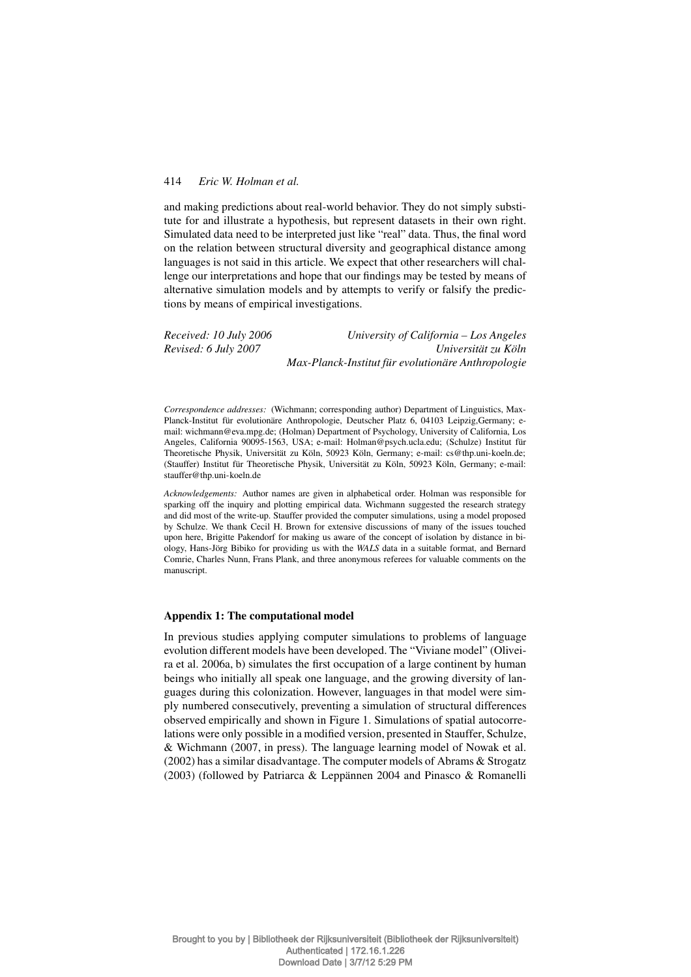and making predictions about real-world behavior. They do not simply substitute for and illustrate a hypothesis, but represent datasets in their own right. Simulated data need to be interpreted just like "real" data. Thus, the final word on the relation between structural diversity and geographical distance among languages is not said in this article. We expect that other researchers will challenge our interpretations and hope that our findings may be tested by means of alternative simulation models and by attempts to verify or falsify the predictions by means of empirical investigations.

*Received: 10 July 2006 University of California – Los Angeles Revised: 6 July 2007 Universität zu Köln Max-Planck-Institut für evolutionäre Anthropologie*

*Correspondence addresses:* (Wichmann; corresponding author) Department of Linguistics, Max-Planck-Institut für evolutionäre Anthropologie, Deutscher Platz 6, 04103 Leipzig,Germany; email: wichmann@eva.mpg.de; (Holman) Department of Psychology, University of California, Los Angeles, California 90095-1563, USA; e-mail: Holman@psych.ucla.edu; (Schulze) Institut für Theoretische Physik, Universität zu Köln, 50923 Köln, Germany; e-mail: cs@thp.uni-koeln.de; (Stauffer) Institut für Theoretische Physik, Universität zu Köln, 50923 Köln, Germany; e-mail: stauffer@thp.uni-koeln.de

*Acknowledgements:* Author names are given in alphabetical order. Holman was responsible for sparking off the inquiry and plotting empirical data. Wichmann suggested the research strategy and did most of the write-up. Stauffer provided the computer simulations, using a model proposed by Schulze. We thank Cecil H. Brown for extensive discussions of many of the issues touched upon here, Brigitte Pakendorf for making us aware of the concept of isolation by distance in biology, Hans-Jörg Bibiko for providing us with the *WALS* data in a suitable format, and Bernard Comrie, Charles Nunn, Frans Plank, and three anonymous referees for valuable comments on the manuscript.

# Appendix 1: The computational model

In previous studies applying computer simulations to problems of language evolution different models have been developed. The "Viviane model" (Oliveira et al. 2006a, b) simulates the first occupation of a large continent by human beings who initially all speak one language, and the growing diversity of languages during this colonization. However, languages in that model were simply numbered consecutively, preventing a simulation of structural differences observed empirically and shown in Figure 1. Simulations of spatial autocorrelations were only possible in a modified version, presented in Stauffer, Schulze, & Wichmann (2007, in press). The language learning model of Nowak et al. (2002) has a similar disadvantage. The computer models of Abrams & Strogatz (2003) (followed by Patriarca & Leppännen 2004 and Pinasco & Romanelli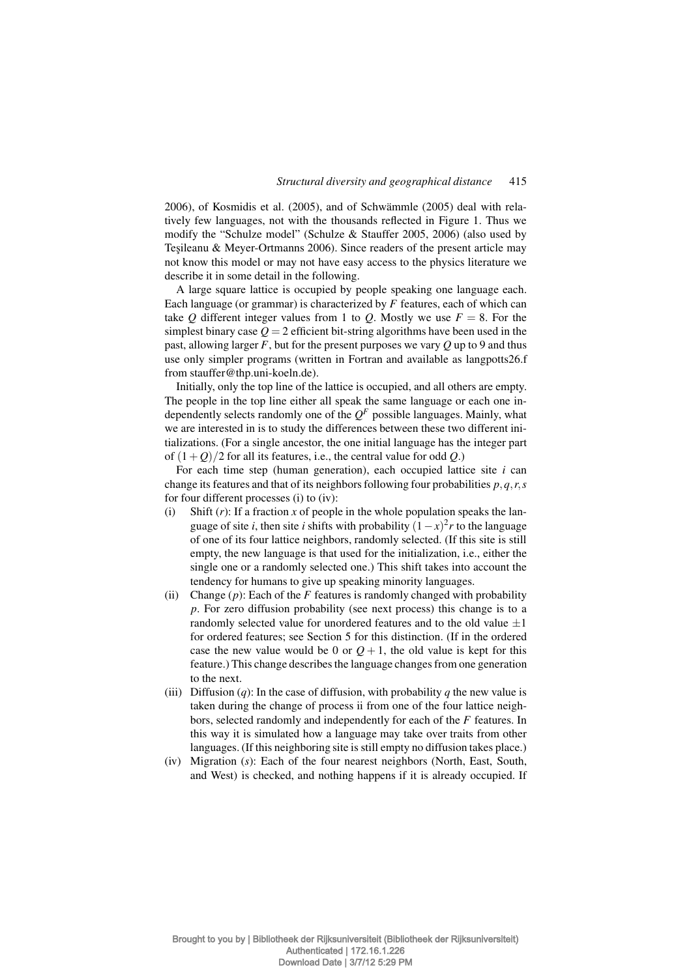2006), of Kosmidis et al. (2005), and of Schwämmle (2005) deal with relatively few languages, not with the thousands reflected in Figure 1. Thus we modify the "Schulze model" (Schulze & Stauffer 2005, 2006) (also used by Tesileanu  $&$  Meyer-Ortmanns 2006). Since readers of the present article may not know this model or may not have easy access to the physics literature we describe it in some detail in the following.

A large square lattice is occupied by people speaking one language each. Each language (or grammar) is characterized by *F* features, each of which can take *Q* different integer values from 1 to *Q*. Mostly we use  $F = 8$ . For the simplest binary case  $Q = 2$  efficient bit-string algorithms have been used in the past, allowing larger *F*, but for the present purposes we vary *Q* up to 9 and thus use only simpler programs (written in Fortran and available as langpotts26.f from stauffer@thp.uni-koeln.de).

Initially, only the top line of the lattice is occupied, and all others are empty. The people in the top line either all speak the same language or each one independently selects randomly one of the  $Q<sup>F</sup>$  possible languages. Mainly, what we are interested in is to study the differences between these two different initializations. (For a single ancestor, the one initial language has the integer part of  $(1+Q)/2$  for all its features, i.e., the central value for odd *Q*.)

For each time step (human generation), each occupied lattice site *i* can change its features and that of its neighbors following four probabilities *p*,*q*,*r*,*s* for four different processes (i) to (iv):

- (i) Shift (*r*): If a fraction *x* of people in the whole population speaks the language of site *i*, then site *i* shifts with probability  $(1 - x)^2 r$  to the language of one of its four lattice neighbors, randomly selected. (If this site is still empty, the new language is that used for the initialization, i.e., either the single one or a randomly selected one.) This shift takes into account the tendency for humans to give up speaking minority languages.
- (ii) Change  $(p)$ : Each of the *F* features is randomly changed with probability *p*. For zero diffusion probability (see next process) this change is to a randomly selected value for unordered features and to the old value  $\pm 1$ for ordered features; see Section 5 for this distinction. (If in the ordered case the new value would be 0 or  $Q + 1$ , the old value is kept for this feature.) This change describes the language changes from one generation to the next.
- (iii) Diffusion (*q*): In the case of diffusion, with probability *q* the new value is taken during the change of process ii from one of the four lattice neighbors, selected randomly and independently for each of the *F* features. In this way it is simulated how a language may take over traits from other languages. (If this neighboring site is still empty no diffusion takes place.)
- (iv) Migration (*s*): Each of the four nearest neighbors (North, East, South, and West) is checked, and nothing happens if it is already occupied. If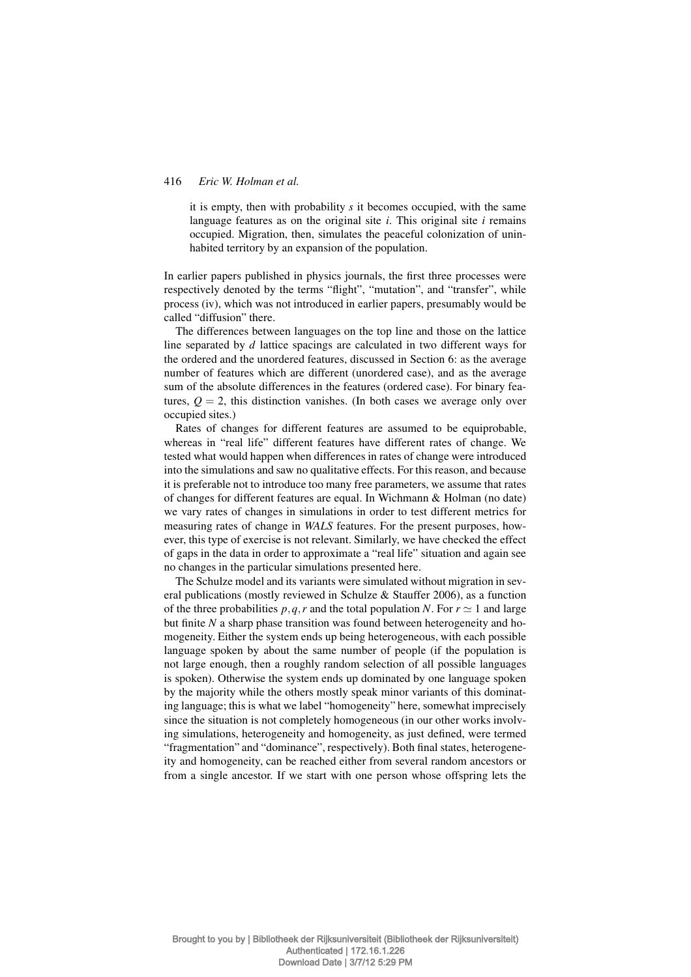it is empty, then with probability *s* it becomes occupied, with the same language features as on the original site *i*. This original site *i* remains occupied. Migration, then, simulates the peaceful colonization of uninhabited territory by an expansion of the population.

In earlier papers published in physics journals, the first three processes were respectively denoted by the terms "flight", "mutation", and "transfer", while process (iv), which was not introduced in earlier papers, presumably would be called "diffusion" there.

The differences between languages on the top line and those on the lattice line separated by *d* lattice spacings are calculated in two different ways for the ordered and the unordered features, discussed in Section 6: as the average number of features which are different (unordered case), and as the average sum of the absolute differences in the features (ordered case). For binary features,  $Q = 2$ , this distinction vanishes. (In both cases we average only over occupied sites.)

Rates of changes for different features are assumed to be equiprobable, whereas in "real life" different features have different rates of change. We tested what would happen when differences in rates of change were introduced into the simulations and saw no qualitative effects. For this reason, and because it is preferable not to introduce too many free parameters, we assume that rates of changes for different features are equal. In Wichmann & Holman (no date) we vary rates of changes in simulations in order to test different metrics for measuring rates of change in *WALS* features. For the present purposes, however, this type of exercise is not relevant. Similarly, we have checked the effect of gaps in the data in order to approximate a "real life" situation and again see no changes in the particular simulations presented here.

The Schulze model and its variants were simulated without migration in several publications (mostly reviewed in Schulze & Stauffer 2006), as a function of the three probabilities  $p, q, r$  and the total population *N*. For  $r \approx 1$  and large but finite *N* a sharp phase transition was found between heterogeneity and homogeneity. Either the system ends up being heterogeneous, with each possible language spoken by about the same number of people (if the population is not large enough, then a roughly random selection of all possible languages is spoken). Otherwise the system ends up dominated by one language spoken by the majority while the others mostly speak minor variants of this dominating language; this is what we label "homogeneity" here, somewhat imprecisely since the situation is not completely homogeneous (in our other works involving simulations, heterogeneity and homogeneity, as just defined, were termed "fragmentation" and "dominance", respectively). Both final states, heterogeneity and homogeneity, can be reached either from several random ancestors or from a single ancestor. If we start with one person whose offspring lets the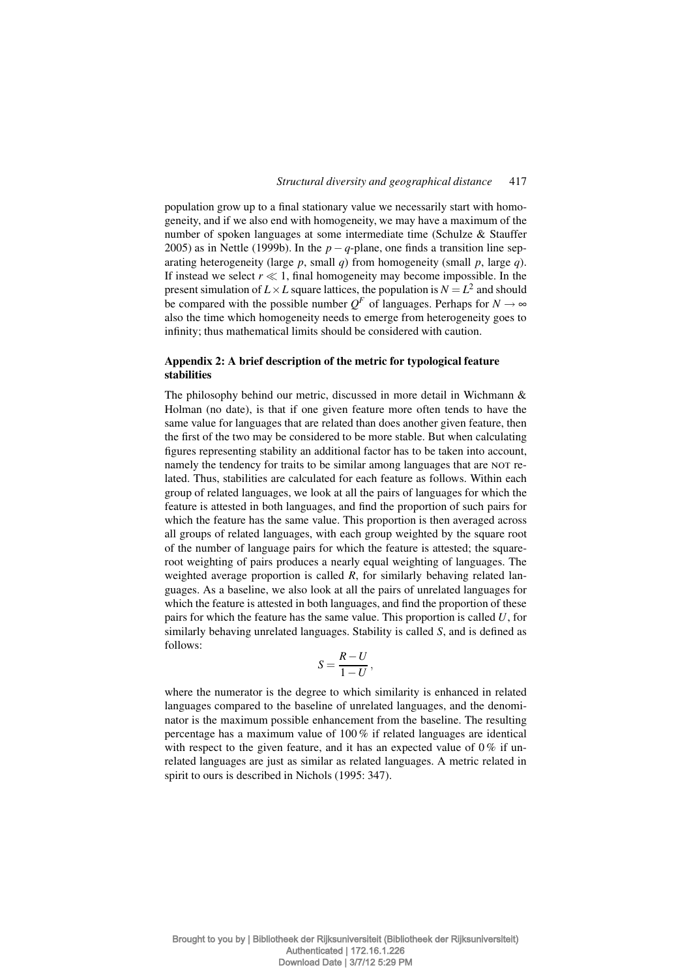population grow up to a final stationary value we necessarily start with homogeneity, and if we also end with homogeneity, we may have a maximum of the number of spoken languages at some intermediate time (Schulze & Stauffer 2005) as in Nettle (1999b). In the  $p - q$ -plane, one finds a transition line separating heterogeneity (large *p*, small *q*) from homogeneity (small *p*, large *q*). If instead we select  $r \ll 1$ , final homogeneity may become impossible. In the present simulation of  $L \times L$  square lattices, the population is  $N = L^2$  and should be compared with the possible number  $Q^F$  of languages. Perhaps for  $N \to \infty$ also the time which homogeneity needs to emerge from heterogeneity goes to infinity; thus mathematical limits should be considered with caution.

# Appendix 2: A brief description of the metric for typological feature stabilities

The philosophy behind our metric, discussed in more detail in Wichmann & Holman (no date), is that if one given feature more often tends to have the same value for languages that are related than does another given feature, then the first of the two may be considered to be more stable. But when calculating figures representing stability an additional factor has to be taken into account, namely the tendency for traits to be similar among languages that are NOT related. Thus, stabilities are calculated for each feature as follows. Within each group of related languages, we look at all the pairs of languages for which the feature is attested in both languages, and find the proportion of such pairs for which the feature has the same value. This proportion is then averaged across all groups of related languages, with each group weighted by the square root of the number of language pairs for which the feature is attested; the squareroot weighting of pairs produces a nearly equal weighting of languages. The weighted average proportion is called *R*, for similarly behaving related languages. As a baseline, we also look at all the pairs of unrelated languages for which the feature is attested in both languages, and find the proportion of these pairs for which the feature has the same value. This proportion is called *U*, for similarly behaving unrelated languages. Stability is called *S*, and is defined as follows:

$$
S=\frac{R-U}{1-U},
$$

where the numerator is the degree to which similarity is enhanced in related languages compared to the baseline of unrelated languages, and the denominator is the maximum possible enhancement from the baseline. The resulting percentage has a maximum value of 100 % if related languages are identical with respect to the given feature, and it has an expected value of  $0\%$  if unrelated languages are just as similar as related languages. A metric related in spirit to ours is described in Nichols (1995: 347).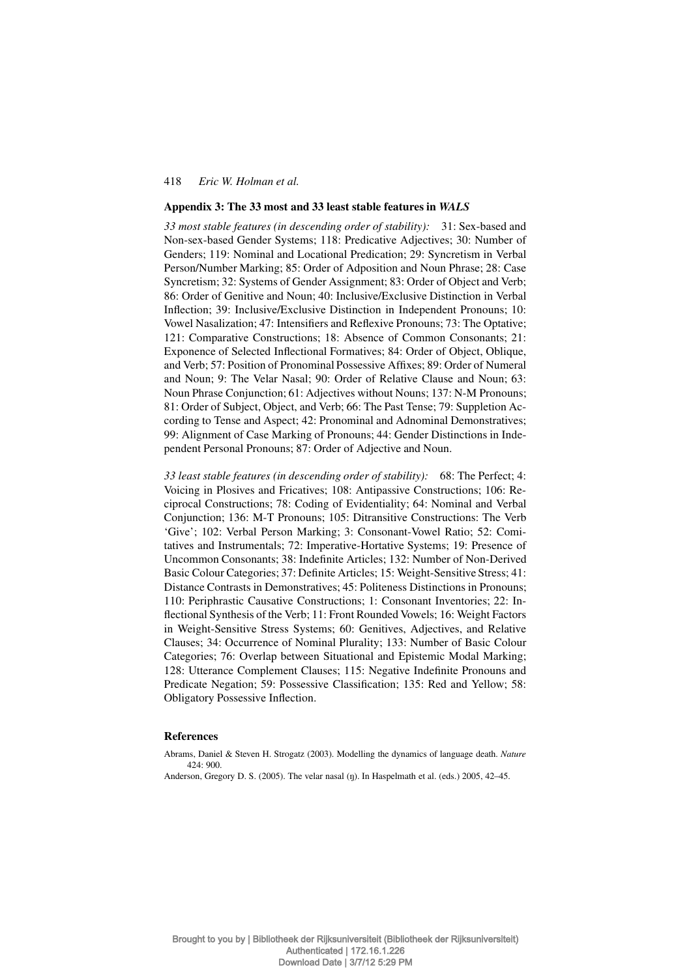#### Appendix 3: The 33 most and 33 least stable features in *WALS*

*33 most stable features (in descending order of stability):* 31: Sex-based and Non-sex-based Gender Systems; 118: Predicative Adjectives; 30: Number of Genders; 119: Nominal and Locational Predication; 29: Syncretism in Verbal Person/Number Marking; 85: Order of Adposition and Noun Phrase; 28: Case Syncretism; 32: Systems of Gender Assignment; 83: Order of Object and Verb; 86: Order of Genitive and Noun; 40: Inclusive/Exclusive Distinction in Verbal Inflection; 39: Inclusive/Exclusive Distinction in Independent Pronouns; 10: Vowel Nasalization; 47: Intensifiers and Reflexive Pronouns; 73: The Optative; 121: Comparative Constructions; 18: Absence of Common Consonants; 21: Exponence of Selected Inflectional Formatives; 84: Order of Object, Oblique, and Verb; 57: Position of Pronominal Possessive Affixes; 89: Order of Numeral and Noun; 9: The Velar Nasal; 90: Order of Relative Clause and Noun; 63: Noun Phrase Conjunction; 61: Adjectives without Nouns; 137: N-M Pronouns; 81: Order of Subject, Object, and Verb; 66: The Past Tense; 79: Suppletion According to Tense and Aspect; 42: Pronominal and Adnominal Demonstratives; 99: Alignment of Case Marking of Pronouns; 44: Gender Distinctions in Independent Personal Pronouns; 87: Order of Adjective and Noun.

*33 least stable features (in descending order of stability):* 68: The Perfect; 4: Voicing in Plosives and Fricatives; 108: Antipassive Constructions; 106: Reciprocal Constructions; 78: Coding of Evidentiality; 64: Nominal and Verbal Conjunction; 136: M-T Pronouns; 105: Ditransitive Constructions: The Verb 'Give'; 102: Verbal Person Marking; 3: Consonant-Vowel Ratio; 52: Comitatives and Instrumentals; 72: Imperative-Hortative Systems; 19: Presence of Uncommon Consonants; 38: Indefinite Articles; 132: Number of Non-Derived Basic Colour Categories; 37: Definite Articles; 15: Weight-Sensitive Stress; 41: Distance Contrasts in Demonstratives; 45: Politeness Distinctions in Pronouns; 110: Periphrastic Causative Constructions; 1: Consonant Inventories; 22: Inflectional Synthesis of the Verb; 11: Front Rounded Vowels; 16: Weight Factors in Weight-Sensitive Stress Systems; 60: Genitives, Adjectives, and Relative Clauses; 34: Occurrence of Nominal Plurality; 133: Number of Basic Colour Categories; 76: Overlap between Situational and Epistemic Modal Marking; 128: Utterance Complement Clauses; 115: Negative Indefinite Pronouns and Predicate Negation; 59: Possessive Classification; 135: Red and Yellow; 58: Obligatory Possessive Inflection.

# References

Abrams, Daniel & Steven H. Strogatz (2003). Modelling the dynamics of language death. *Nature* 424: 900.

Anderson, Gregory D. S. (2005). The velar nasal (n). In Haspelmath et al. (eds.) 2005, 42–45.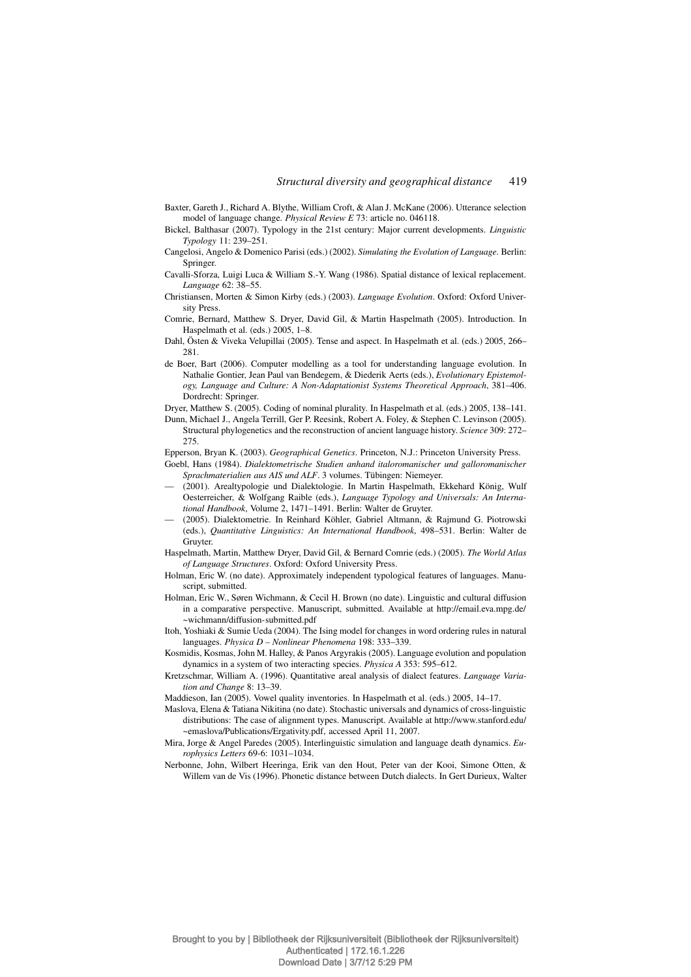- Baxter, Gareth J., Richard A. Blythe, William Croft, & Alan J. McKane (2006). Utterance selection model of language change. *Physical Review E* 73: article no. 046118.
- Bickel, Balthasar (2007). Typology in the 21st century: Major current developments. *Linguistic Typology* 11: 239–251.
- Cangelosi, Angelo & Domenico Parisi (eds.) (2002). *Simulating the Evolution of Language*. Berlin: Springer.
- Cavalli-Sforza, Luigi Luca & William S.-Y. Wang (1986). Spatial distance of lexical replacement. *Language* 62: 38–55.
- Christiansen, Morten & Simon Kirby (eds.) (2003). *Language Evolution*. Oxford: Oxford University Press.
- Comrie, Bernard, Matthew S. Dryer, David Gil, & Martin Haspelmath (2005). Introduction. In Haspelmath et al. (eds.) 2005, 1–8.
- Dahl, Östen & Viveka Velupillai (2005). Tense and aspect. In Haspelmath et al. (eds.) 2005, 266– 281.
- de Boer, Bart (2006). Computer modelling as a tool for understanding language evolution. In Nathalie Gontier, Jean Paul van Bendegem, & Diederik Aerts (eds.), *Evolutionary Epistemology, Language and Culture: A Non-Adaptationist Systems Theoretical Approach*, 381–406. Dordrecht: Springer.
- Dryer, Matthew S. (2005). Coding of nominal plurality. In Haspelmath et al. (eds.) 2005, 138–141.
- Dunn, Michael J., Angela Terrill, Ger P. Reesink, Robert A. Foley, & Stephen C. Levinson (2005). Structural phylogenetics and the reconstruction of ancient language history. *Science* 309: 272– 275.

Epperson, Bryan K. (2003). *Geographical Genetics*. Princeton, N.J.: Princeton University Press.

- Goebl, Hans (1984). *Dialektometrische Studien anhand italoromanischer und galloromanischer Sprachmaterialien aus AIS und ALF*. 3 volumes. Tübingen: Niemeyer.
- (2001). Arealtypologie und Dialektologie. In Martin Haspelmath, Ekkehard König, Wulf Oesterreicher, & Wolfgang Raible (eds.), *Language Typology and Universals: An International Handbook*, Volume 2, 1471–1491. Berlin: Walter de Gruyter.
- (2005). Dialektometrie. In Reinhard Köhler, Gabriel Altmann, & Rajmund G. Piotrowski (eds.), *Quantitative Linguistics: An International Handbook*, 498–531. Berlin: Walter de Gruyter.
- Haspelmath, Martin, Matthew Dryer, David Gil, & Bernard Comrie (eds.) (2005). *The World Atlas of Language Structures*. Oxford: Oxford University Press.
- Holman, Eric W. (no date). Approximately independent typological features of languages. Manuscript, submitted.
- Holman, Eric W., Søren Wichmann, & Cecil H. Brown (no date). Linguistic and cultural diffusion in a comparative perspective. Manuscript, submitted. Available at http://email.eva.mpg.de/ ~wichmann/diffusion-submitted.pdf
- Itoh, Yoshiaki & Sumie Ueda (2004). The Ising model for changes in word ordering rules in natural languages. *Physica D – Nonlinear Phenomena* 198: 333–339.
- Kosmidis, Kosmas, John M. Halley, & Panos Argyrakis (2005). Language evolution and population dynamics in a system of two interacting species. *Physica A* 353: 595–612.
- Kretzschmar, William A. (1996). Quantitative areal analysis of dialect features. *Language Variation and Change* 8: 13–39.
- Maddieson, Ian (2005). Vowel quality inventories. In Haspelmath et al. (eds.) 2005, 14–17.
- Maslova, Elena & Tatiana Nikitina (no date). Stochastic universals and dynamics of cross-linguistic distributions: The case of alignment types. Manuscript. Available at http://www.stanford.edu/ ~emaslova/Publications/Ergativity.pdf, accessed April 11, 2007.
- Mira, Jorge & Angel Paredes (2005). Interlinguistic simulation and language death dynamics. *Europhysics Letters* 69-6: 1031–1034.

Nerbonne, John, Wilbert Heeringa, Erik van den Hout, Peter van der Kooi, Simone Otten, & Willem van de Vis (1996). Phonetic distance between Dutch dialects. In Gert Durieux, Walter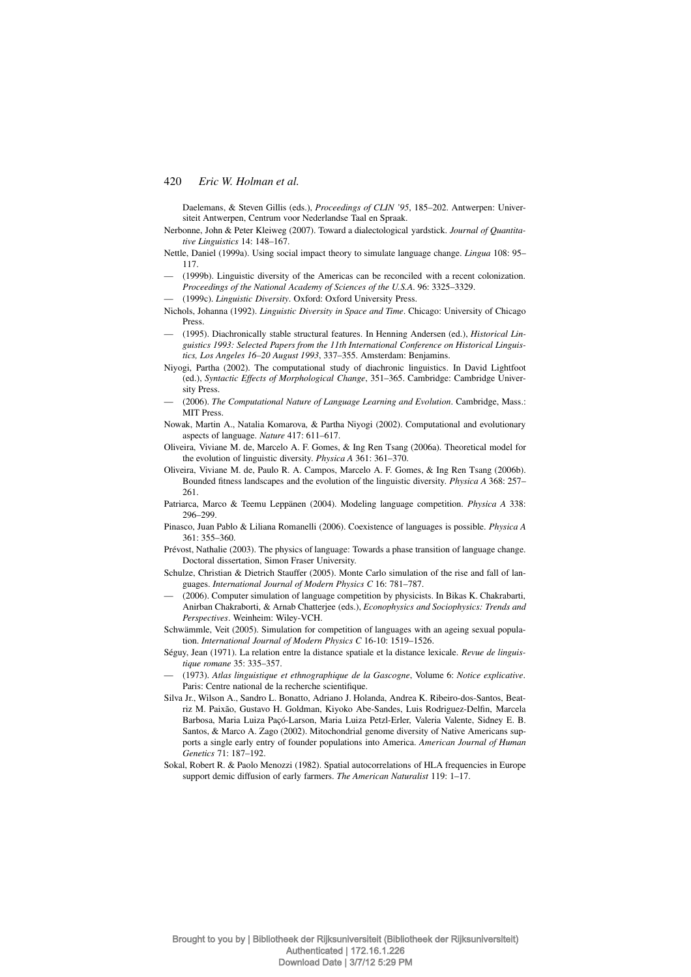Daelemans, & Steven Gillis (eds.), *Proceedings of CLIN '95*, 185–202. Antwerpen: Universiteit Antwerpen, Centrum voor Nederlandse Taal en Spraak.

- Nerbonne, John & Peter Kleiweg (2007). Toward a dialectological yardstick. *Journal of Quantitative Linguistics* 14: 148–167.
- Nettle, Daniel (1999a). Using social impact theory to simulate language change. *Lingua* 108: 95– 117.
- (1999b). Linguistic diversity of the Americas can be reconciled with a recent colonization. *Proceedings of the National Academy of Sciences of the U.S.A.* 96: 3325–3329.
- (1999c). *Linguistic Diversity*. Oxford: Oxford University Press.
- Nichols, Johanna (1992). *Linguistic Diversity in Space and Time*. Chicago: University of Chicago Press.
- (1995). Diachronically stable structural features. In Henning Andersen (ed.), *Historical Linguistics 1993: Selected Papers from the 11th International Conference on Historical Linguistics, Los Angeles 16–20 August 1993*, 337–355. Amsterdam: Benjamins.
- Niyogi, Partha (2002). The computational study of diachronic linguistics. In David Lightfoot (ed.), *Syntactic Effects of Morphological Change*, 351–365. Cambridge: Cambridge University Press.
- (2006). *The Computational Nature of Language Learning and Evolution*. Cambridge, Mass.: MIT Press.
- Nowak, Martin A., Natalia Komarova, & Partha Niyogi (2002). Computational and evolutionary aspects of language. *Nature* 417: 611–617.
- Oliveira, Viviane M. de, Marcelo A. F. Gomes, & Ing Ren Tsang (2006a). Theoretical model for the evolution of linguistic diversity. *Physica A* 361: 361–370.
- Oliveira, Viviane M. de, Paulo R. A. Campos, Marcelo A. F. Gomes, & Ing Ren Tsang (2006b). Bounded fitness landscapes and the evolution of the linguistic diversity. *Physica A* 368: 257– 261.
- Patriarca, Marco & Teemu Leppänen (2004). Modeling language competition. *Physica A* 338: 296–299.
- Pinasco, Juan Pablo & Liliana Romanelli (2006). Coexistence of languages is possible. *Physica A* 361: 355–360.
- Prévost, Nathalie (2003). The physics of language: Towards a phase transition of language change. Doctoral dissertation, Simon Fraser University.
- Schulze, Christian & Dietrich Stauffer (2005). Monte Carlo simulation of the rise and fall of languages. *International Journal of Modern Physics C* 16: 781–787.
- (2006). Computer simulation of language competition by physicists. In Bikas K. Chakrabarti, Anirban Chakraborti, & Arnab Chatterjee (eds.), *Econophysics and Sociophysics: Trends and Perspectives*. Weinheim: Wiley-VCH.
- Schwämmle, Veit (2005). Simulation for competition of languages with an ageing sexual population. *International Journal of Modern Physics C* 16-10: 1519–1526.
- Séguy, Jean (1971). La relation entre la distance spatiale et la distance lexicale. *Revue de linguistique romane* 35: 335–357.
- (1973). *Atlas linguistique et ethnographique de la Gascogne*, Volume 6: *Notice explicative*. Paris: Centre national de la recherche scientifique.
- Silva Jr., Wilson A., Sandro L. Bonatto, Adriano J. Holanda, Andrea K. Ribeiro-dos-Santos, Beatriz M. Paixão, Gustavo H. Goldman, Kiyoko Abe-Sandes, Luis Rodriguez-Delfin, Marcela Barbosa, Maria Luiza Paçó-Larson, Maria Luiza Petzl-Erler, Valeria Valente, Sidney E. B. Santos, & Marco A. Zago (2002). Mitochondrial genome diversity of Native Americans supports a single early entry of founder populations into America. *American Journal of Human Genetics* 71: 187–192.
- Sokal, Robert R. & Paolo Menozzi (1982). Spatial autocorrelations of HLA frequencies in Europe support demic diffusion of early farmers. *The American Naturalist* 119: 1–17.